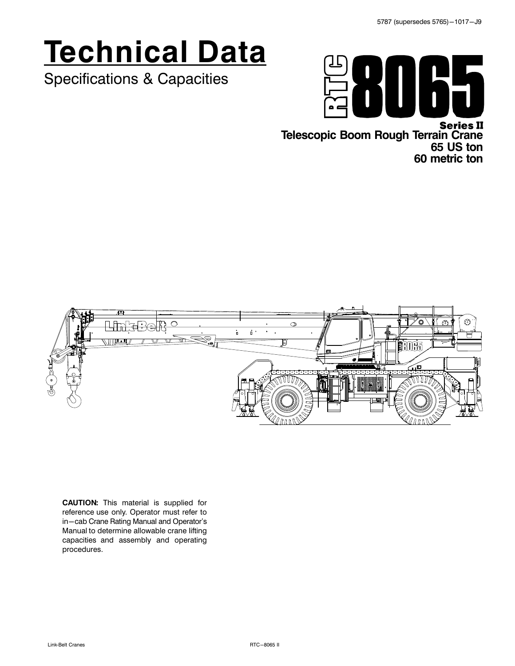# **Technical Data**

Specifications & Capacities



**65 US ton 60 metric ton**



**CAUTION:** This material is supplied for reference use only. Operator must refer to in-cab Crane Rating Manual and Operator's Manual to determine allowable crane lifting capacities and assembly and operating procedures.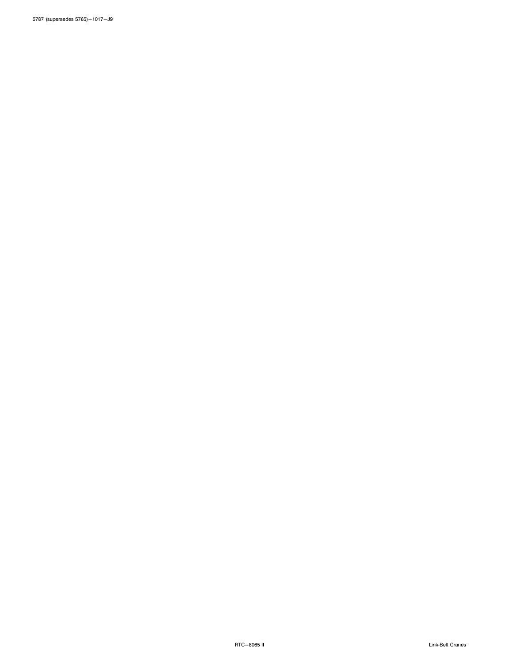5787 (supersedes 5765)-1017-J9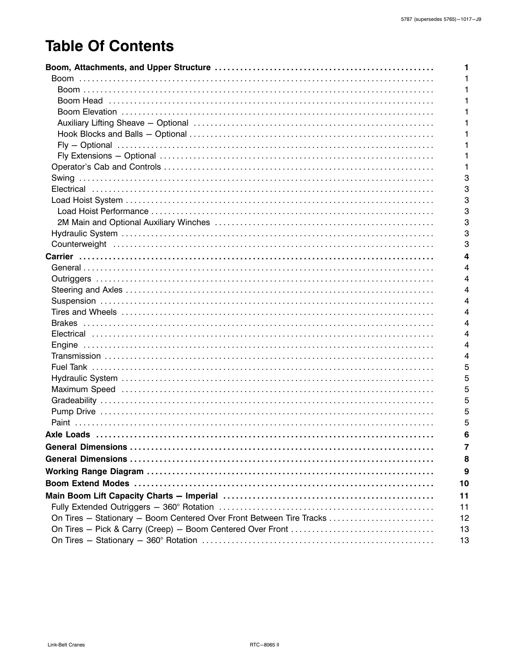# **Table Of Contents**

|                                                                      | 1                       |
|----------------------------------------------------------------------|-------------------------|
|                                                                      |                         |
|                                                                      |                         |
|                                                                      |                         |
|                                                                      | 1                       |
|                                                                      |                         |
|                                                                      |                         |
|                                                                      | 1                       |
|                                                                      | 1                       |
|                                                                      | 3                       |
|                                                                      | 3                       |
|                                                                      | 3                       |
|                                                                      | 3                       |
|                                                                      | 3                       |
|                                                                      | 3                       |
|                                                                      | 3                       |
|                                                                      | 4                       |
|                                                                      | 4                       |
|                                                                      | 4                       |
|                                                                      | $\overline{4}$          |
|                                                                      | 4                       |
|                                                                      | 4                       |
|                                                                      | 4                       |
|                                                                      | 4                       |
|                                                                      | 4                       |
|                                                                      | 4                       |
|                                                                      | 5                       |
|                                                                      | 5                       |
|                                                                      | 5                       |
|                                                                      | 5                       |
|                                                                      | 5                       |
|                                                                      | 5                       |
|                                                                      | 6                       |
|                                                                      |                         |
|                                                                      | $\overline{\mathbf{z}}$ |
|                                                                      | 8                       |
|                                                                      | 9                       |
|                                                                      | 10                      |
|                                                                      | 11                      |
|                                                                      | 11                      |
| On Tires - Stationary - Boom Centered Over Front Between Tire Tracks | 12                      |
|                                                                      | 13                      |
|                                                                      | 13                      |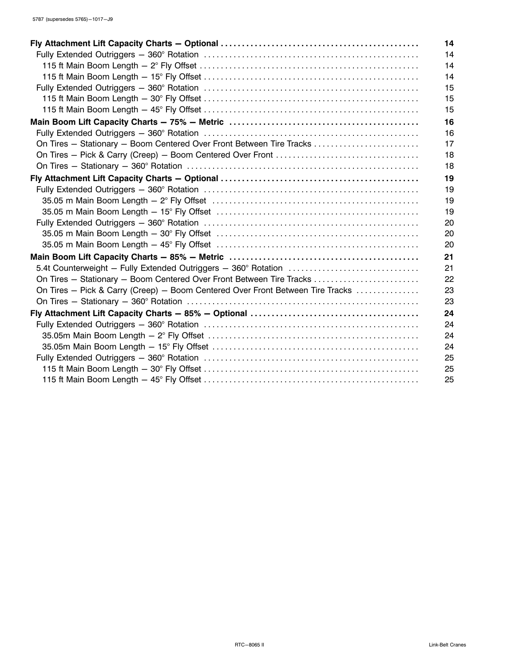|                                                                                | 14 |
|--------------------------------------------------------------------------------|----|
|                                                                                | 14 |
|                                                                                | 14 |
|                                                                                | 14 |
|                                                                                | 15 |
|                                                                                | 15 |
|                                                                                | 15 |
|                                                                                | 16 |
|                                                                                | 16 |
|                                                                                | 17 |
|                                                                                | 18 |
|                                                                                | 18 |
|                                                                                | 19 |
|                                                                                | 19 |
|                                                                                | 19 |
|                                                                                | 19 |
|                                                                                | 20 |
|                                                                                | 20 |
|                                                                                | 20 |
|                                                                                | 21 |
|                                                                                | 21 |
|                                                                                | 22 |
| On Tires - Pick & Carry (Creep) - Boom Centered Over Front Between Tire Tracks | 23 |
|                                                                                | 23 |
|                                                                                | 24 |
|                                                                                | 24 |
|                                                                                | 24 |
|                                                                                | 24 |
|                                                                                | 25 |
|                                                                                | 25 |
|                                                                                | 25 |
|                                                                                |    |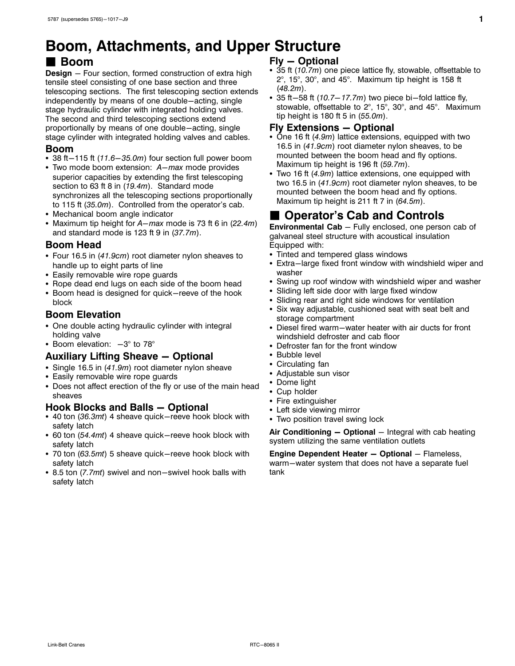# <span id="page-4-0"></span>**Boom, Attachments, and Upper Structure**

### - **Boom**

**Design** – Four section, formed construction of extra high tensile steel consisting of one base section and three telescoping sections. The first telescoping section extends independently by means of one double-acting, single stage hydraulic cylinder with integrated holding valves. The second and third telescoping sections extend proportionally by means of one double-acting, single stage cylinder with integrated holding valves and cables.

#### **Boom**

- **-** 38 ft-115 ft (*11.6-35.0m*) four section full power boom<br>• Two mode boom extension: A-max mode provides
- Two mode boom extension: *A-max* mode provides superior capacities by extending the first telescoping section to 63 ft 8 in (*19.4m*). Standard mode synchronizes all the telescoping sections proportionally to 115 ft (*35.0m*). Controlled from the operator's cab.
- Mechanical boom angle indicator
- Maximum tip height for  $A-max$  mode is 73 ft 6 in (22.4m)<br>and standard mode is 123 ft 9 in (37.7m) and standard mode is 123 ft 9 in (*37.7m*).

#### **Boom Head**

- Four 16.5 in (*41.9cm*) root diameter nylon sheaves to handle up to eight parts of line
- Easily removable wire rope guards
- Rope dead end lugs on each side of the boom head
- Boom head is designed for quick-reeve of the hook block

#### **Boom Elevation**

- One double acting hydraulic cylinder with integral holding valve
- $\bullet$  Boom elevation:  $-3^{\circ}$  to 78°

#### **Auxiliary Lifting Sheave – Optional**

- Single 16.5 in (*41.9m*) root diameter nylon sheave
- Easily removable wire rope guards
- Does not affect erection of the fly or use of the main head sheaves

#### **Hook Blocks and Balls – Optional**

- 40 ton (*36.3mt*) 4 sheave quick-reeve hook block with safety latch
- 60 ton (54.4mt) 4 sheave quick-reeve hook block with<br>safety latch safety latch
- 70 ton (*63.5mt*) 5 sheave quick-reeve hook block with safety latch
- 8.5 ton (*7.7mt*) swivel and non-swivel hook balls with safety latch

#### **Fly - Optional**

- $\cdot$  35 ft (*10.7m*) one piece lattice fly, stowable, offsettable to  $2^\circ$  15° 30° and 45°. Maximum tip height is 158 ft 2°, 15°, 30°, and 45°. Maximum tip height is 158 ft (*48.2m*).
- - 35 ft-58 ft (*10.7-17.7m*) two piece bi-fold lattice fly, stowable, offsettable to 2°, 15°, 30°, and 45°. Maximum tip height is 180 ft 5 in (*55.0m*).

#### **Fly Extensions - Optional**

- One 16 ft (*4.9m*) lattice extensions, equipped with two<br>16 5 in (41.9cm) root diameter nylon sheaves to be 16.5 in (*41.9cm*) root diameter nylon sheaves, to be mounted between the boom head and fly options. Maximum tip height is 196 ft (*59.7m*).
- Two 16 ft (*4.9m*) lattice extensions, one equipped with two 16.5 in (*41.9cm*) root diameter nylon sheaves to b two 16.5 in (*41.9cm*) root diameter nylon sheaves, to be mounted between the boom head and fly options. Maximum tip height is 211 ft 7 in (*64.5m*).

### ■ Operator's Cab and Controls

**Environmental Cab** - Fully enclosed, one person cab of galvaneal steel structure with acoustical insulation Equipped with:

- Tinted and tempered glass windows
- Extra-large fixed front window with windshield wiper and washer
- Swing up roof window with windshield wiper and washer
- Sliding left side door with large fixed window
- Sliding rear and right side windows for ventilation
- Six way adjustable, cushioned seat with seat belt and storage compartment
- Diesel fired warm-water heater with air ducts for front windshield defroster and cab floor
- -Defroster fan for the front window
- Bubble level
- Circulating fan
- Adjustable sun visor
- Dome light
- Cup holder
- Fire extinguisher
- Left side viewing mirror
- Two position travel swing lock

**Air Conditioning - Optional** - Integral with cab heating system utilizing the same ventilation outlets

**Engine Dependent Heater - Optional** - Flameless, warm-water system that does not have a separate fuel tank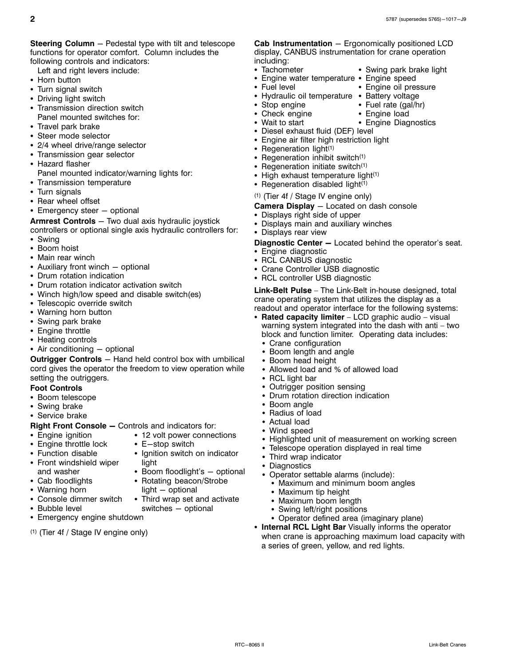• Swing park brake light

Engine oil pressure

• Engine Diagnostics

• Fuel rate (gal/hr)

• Engine load

**Steering Column** - Pedestal type with tilt and telescope functions for operator comfort. Column includes the following controls and indicators:

Left and right levers include:

- Horn button
- Turn signal switch
- Driving light switch
- Transmission direction switch Panel mounted switches for:
- Travel park brake
- Steer mode selector
- 2/4 wheel drive/range selector
- Transmission gear selector
- Hazard flasher
- Panel mounted indicator/warning lights for:
- Transmission temperature
- Turn signals
- Rear wheel offset
- Emergency steer optional

**Armrest Controls** - Two dual axis hydraulic joystick controllers or optional single axis hydraulic controllers for:

- Swing
- Boom hoist
- Main rear winch
- Auxiliary front winch optional
- Drum rotation indication
- Drum rotation indicator activation switch
- Winch high/low speed and disable switch(es)
- Telescopic override switch
- Warning horn button
- Swing park brake
- Engine throttle
- Heating controls
- Air conditioning optional

**Outrigger Controls** - Hand held control box with umbilical cord gives the operator the freedom to view operation while setting the outriggers.

#### **Foot Controls**

- Boom telescope
- Swing brake
- Service brake
- **Right Front Console Controls and indicators for:**
- Engine ignition • 12 volt power connections • Engine throttle lock •

Third wrap set and activate

 $switches - optional$ 

- E-stop switch
- Function disable • Front windshield wiper light and washer
	- $\bullet$  Boom floodlight's  $-$  optional • Rotating beacon/Strobe
- Cab floodlights •
- Warning horn light optional
- Console dimmer switch •
- Bubble level
- Emergency engine shutdown

(1) (Tier 4f / Stage IV engine only)

**Cab Instrumentation** - Ergonomically positioned LCD display, CANBUS instrumentation for crane operation including:

- Tachometer •
- -• Engine water temperature • Engine speed
- Fuel level •
- Hydraulic oil temperature Battery voltage -
- Stop engine
- -Check engine
- -Wait to start
- Diesel exhaust fluid (DEF) level
- Engine air filter high restriction light
- -Regeneration light(1)
- -Regeneration inhibit switch(1)
- $\bullet$ Regeneration initiate switch(1)
- High exhaust temperature light<sup>(1)</sup>
- $\bullet$  Regeneration disabled light(1)

#### (1) (Tier 4f / Stage IV engine only)

**Camera Display** - Located on dash console

- Displays right side of upper
- Displays main and auxiliary winches
- Displays rear view

#### **Diagnostic Center - Located behind the operator's seat.**

- Engine diagnostic
- RCL CANBUS diagnostic
- Crane Controller USB diagnostic
- RCL controller USB diagnostic

**Link-Belt Pulse** – The Link-Belt in-house designed, total crane operating system that utilizes the display as a readout and operator interface for the following systems:

- **Rated capacity limiter** LCD graphic audio visual warning system integrated into the dash with anti – two block and function limiter. Operating data includes:
	- Crane configuration
	- Boom length and angle
	- Boom head height
	- Allowed load and % of allowed load
	- RCL light bar
	- Outrigger position sensing
	- Drum rotation direction indication
	- $\bullet$ Boom angle
	- Radius of load
	- Actual load
	- Wind speed
	- Highlighted unit of measurement on working screen
	- -Telescope operation displayed in real time
	- Third wrap indicator
- Diagnostics
- Operator settable alarms (include):
	- Maximum and minimum boom angles
	- -Maximum tip height
	- -Maximum boom length
	- Swing left/right positions
	- Operator defined area (imaginary plane)
- **Internal RCL Light Bar** Visually informs the operator when crane is approaching maximum load capacity with a series of green, yellow, and red lights.

• Ignition switch on indicator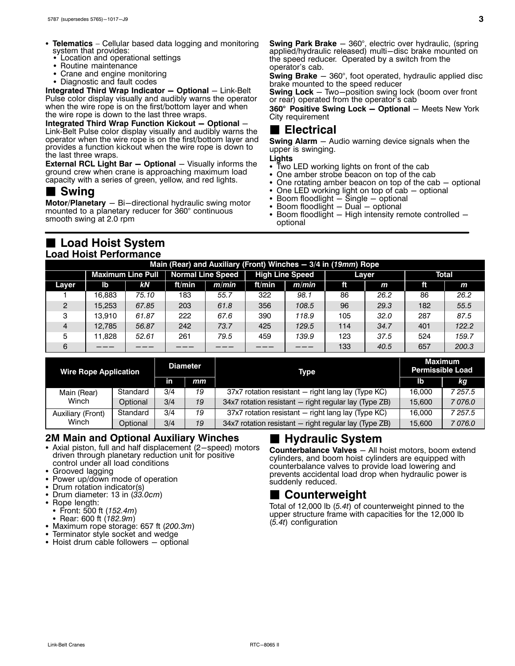- <span id="page-6-0"></span>• **Telematics** – Cellular based data logging and monitoring system that provides: system that provides:
	- Location and operational settings
	- Routine maintenance<br>• Crane and engine mo
	- Crane and engine monitoring
	- $\bullet$ Diagnostic and fault codes

**Integrated Third Wrap Indicator - Optional** - Link-Belt Pulse color display visually and audibly warns the operator when the wire rope is on the first/bottom layer and when

the wire rope is down to the last three wraps.<br>Integrated Third Wrap Function Kickout - Optional -Link-Belt Pulse color display visually and audibly warns the operator when the wire rope is on the first/bottom layer and provides a function kickout when the wire rope is down to the last three wraps.

**External RCL Light Bar - Optional** - Visually informs the ground crew when crane is approaching maximum load capacity with a series of green, yellow, and red lights.

#### ■ Swing

**Motor/Planetary** - Bi-directional hydraulic swing motor mounted to a planetary reducer for 360° continuous smooth swing at 2.0 rpm

**Swing Park Brake** – 360°, electric over hydraulic, (spring applied/hydraulic released) multi-disc brake mounted on the speed reducer. Operated by a switch from the operator's cab.

**Swing Brake** – 360°, foot operated, hydraulic applied disc brake mounted to the speed reducer

**Swing Lock** – Two-position swing lock (boom over front or rear) operated from the operator's cab

**360° Positive Swing Lock - Optional** - Meets New York City requirement

#### - **Electrical**

**Swing Alarm** - Audio warning device signals when the upper is swinging.

#### **Lights**

- $\bullet$ Two LED working lights on front of the cab
- $\bullet$ One amber strobe beacon on top of the cab
- $\bullet$ One rotating amber beacon on top of the cab  $-$  optional
- -• One LED working light on top of cab – optional
- -• Boom floodlight - Single - optional
- -• Boom floodlight - Dual - optional
- Boom floodlight High intensity remote controlled optional

#### - **Load Hoist System Load Hoist Performance**

|       | Main (Rear) and Auxiliary (Front) Winches $-3/4$ in (19mm) Rope |       |        |                          |        |                        |     |       |     |       |  |  |
|-------|-----------------------------------------------------------------|-------|--------|--------------------------|--------|------------------------|-----|-------|-----|-------|--|--|
|       | <b>Maximum Line Pull</b>                                        |       |        | <b>Normal Line Speed</b> |        | <b>High Line Speed</b> |     | Layer |     | Total |  |  |
| Laver | Ib                                                              | kN    | ft/min | m/min                    | ft/min | m/min                  | ft  | m     | ft  | m     |  |  |
|       | 16.883                                                          | 75.10 | 183    | 55.7                     | 322    | 98.1                   | 86  | 26.2  | 86  | 26.2  |  |  |
| 2     | 15.253                                                          | 67.85 | 203    | 61.8                     | 356    | 108.5                  | 96  | 29.3  | 182 | 55.5  |  |  |
| 3     | 13.910                                                          | 61.87 | 222    | 67.6                     | 390    | 118.9                  | 105 | 32.0  | 287 | 87.5  |  |  |
| 4     | 12.785                                                          | 56.87 | 242    | 73.7                     | 425    | 129.5                  | 114 | 34.7  | 401 | 122.2 |  |  |
| 5     | 11.828                                                          | 52.61 | 261    | 79.5                     | 459    | 139.9                  | 123 | 37.5  | 524 | 159.7 |  |  |
| 6     |                                                                 |       |        |                          |        |                        | 133 | 40.5  | 657 | 200.3 |  |  |
|       |                                                                 |       |        |                          |        |                        |     |       |     |       |  |  |

| <b>Wire Rope Application</b> |          | <b>Diameter</b> |    | <b>Type</b>                                           | Maximum<br><b>Permissible Load</b> |         |  |
|------------------------------|----------|-----------------|----|-------------------------------------------------------|------------------------------------|---------|--|
|                              |          | in              | mm |                                                       | lb                                 | kg      |  |
| Main (Rear)                  | Standard | 3/4             | 19 | 37x7 rotation resistant - right lang lay (Type KC)    | 16.000                             | 7 257.5 |  |
| Winch                        | Optional | 3/4             | 19 | 34x7 rotation resistant - right regular lay (Type ZB) | 15.600                             | 7076.0  |  |
| Auxiliary (Front)            | Standard | 3/4             | 19 | 37x7 rotation resistant - right lang lay (Type KC)    | 16.000                             | 7 257.5 |  |
| Winch                        | Optional | 3/4             | 19 | 34x7 rotation resistant - right regular lay (Type ZB) | 15,600                             | 7076.0  |  |

#### **2M Main and Optional Auxiliary Winches**

- Axial piston, full and half displacement (2-speed) motors driven through planetary reduction unit for positive control under all load conditions
- Grooved lagging
- Power up/down mode of operation
- Drum rotation indicator(s)<br>• Drum diameter: 13 in (33
- Drum diameter: 13 in (*33.0cm*) -
- Rope length:
	- Front: 500 ft (*152.4m*)<br>• Front: 500 ft (*182.9m*)
- Rear: 600 ft (*182.9m*)<br>Maximum rope storage •
- Maximum rope storage: 657 ft (200.3*m*)<br>• Terminator style socket and wedge
- Terminator style socket and wedge
- Hoist drum cable followers optional

#### $\blacksquare$  **Hydraulic System**

**Counterbalance Valves** - All hoist motors, boom extend cylinders, and boom hoist cylinders are equipped with counterbalance valves to provide load lowering and prevents accidental load drop when hydraulic power is suddenly reduced.

#### $\blacksquare$  Counterweight

Total of 12,000 lb (*5.4t*) of counterweight pinned to the upper structure frame with capacities for the 12,000 lb (*5.4t*) configuration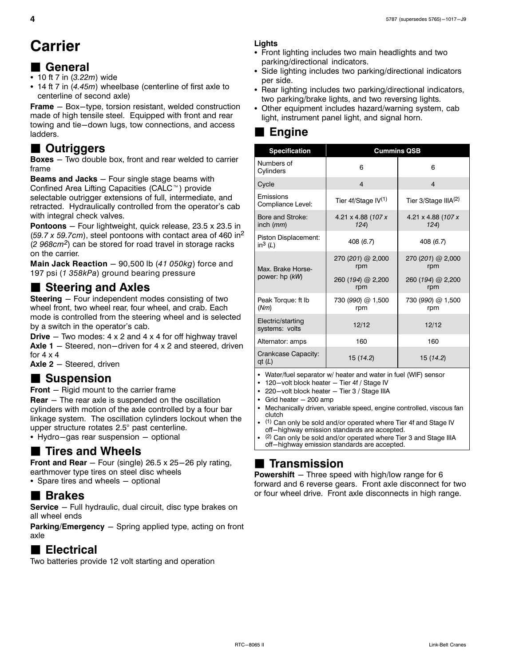# <span id="page-7-0"></span>**Carrier**

# General<br>• 10 ft 7 in (3.22)

10 ft 7 in (*3.22m*) wide

• 14 ft 7 in (*4.45m*) wheelbase (centerline of first axle to<br>centerline of second axle) centerline of second axle)

**Frame** - Box-type, torsion resistant, welded construction made of high tensile steel. Equipped with front and rear towing and tie-down lugs, tow connections, and access ladders.

### $\blacksquare$  Outriggers

**Boxes** – Two double box, front and rear welded to carrier frame

**Beams and Jacks** - Four single stage beams with Confined Area Lifting Capacities (CALC<sup>™</sup>) provide selectable outrigger extensions of full, intermediate, and retracted. Hydraulically controlled from the operator's cab with integral check valves.

**Pontoons** – Four lightweight, quick release, 23.5 x 23.5 in (*59.7 x 59.7cm*), steel pontoons with contact area of 460 in2 (*2 968cm2*) can be stored for road travel in storage racks on the carrier.

**Main Jack Reaction**  $-$  90,500 lb (41 050kg) force and 197 psi (*1 358kPa*) ground bearing pressure

### **E** Steering and Axles

**Steering** – Four independent modes consisting of two wheel front, two wheel rear, four wheel, and crab. Each mode is controlled from the steering wheel and is selected by a switch in the operator's cab.

**Drive** – Two modes: 4 x 2 and 4 x 4 for off highway travel **Axle 1**  $-$  Steered, non $-$ driven for 4 x 2 and steered, driven for  $4 \times 4$ 

Axle 2 - Steered, driven

### $\blacksquare$  Suspension

**Front** – Rigid mount to the carrier frame

**Rear** – The rear axle is suspended on the oscillation cylinders with motion of the axle controlled by a four bar linkage system. The oscillation cylinders lockout when the upper structure rotates 2.5° past centerline.

• Hydro-gas rear suspension - optional

### $\blacksquare$  **Tires and Wheels**

**Front and Rear** - Four (single) 26.5 x 25-26 ply rating, earthmover type tires on steel disc wheels • Spare tires and wheels - optional

### - **Brakes**

**Service** - Full hydraulic, dual circuit, disc type brakes on all wheel ends

**Parking/Emergency** - Spring applied type, acting on front axle

### - **Electrical**

Two batteries provide 12 volt starting and operation

#### **Lights**

- Front lighting includes two main headlights and two parking/directional indicators.
- Side lighting includes two parking/directional indicators per side.
- Rear lighting includes two parking/directional indicators, two parking/brake lights, and two reversing lights.
- Other equipment includes hazard/warning system, cab light, instrument panel light, and signal horn.

### **Engine**

| Specification                                 | <b>Cummins QSB</b>              |                                  |  |  |  |  |
|-----------------------------------------------|---------------------------------|----------------------------------|--|--|--|--|
| Numbers of<br>Cylinders                       | 6                               | 6                                |  |  |  |  |
| Cycle                                         | $\overline{4}$                  | $\overline{\mathbf{4}}$          |  |  |  |  |
| Emissions<br>Compliance Level:                | Tier 4f/Stage IV <sup>(1)</sup> | Tier 3/Stage IIIA <sup>(2)</sup> |  |  |  |  |
| Bore and Stroke:<br>inch (mm)                 | 4.21 x 4.88 (107 x<br>124)      | 4.21 x 4.88 (107 x<br>124)       |  |  |  |  |
| Piston Displacement:<br>in <sup>3</sup> $(L)$ | 408 (6.7)                       | 408 (6.7)                        |  |  |  |  |
| Max. Brake Horse-                             | 270 (201) @ 2,000<br>rpm        | 270 (201) @ 2,000<br>rpm         |  |  |  |  |
| power: hp (kW)                                | 260 (194) @ 2,200<br>rpm        | 260 (194) @ 2,200<br>rpm         |  |  |  |  |
| Peak Torque: ft lb<br>(Nm)                    | 730 (990) @ 1,500<br>rpm        | 730 (990) @ 1,500<br>rpm         |  |  |  |  |
| Electric/starting<br>systems: volts           | 12/12                           | 12/12                            |  |  |  |  |
| Alternator: amps                              | 160                             | 160                              |  |  |  |  |
| Crankcase Capacity:<br>qt $(L)$               | 15 (14.2)                       | 15 (14.2)                        |  |  |  |  |

- Water/fuel separator w/ heater and water in fuel (WIF) sensor

- -120-volt block heater - Tier 4f / Stage IV
- - $220 -$ volt block heater  $-$  Tier 3 / Stage IIIA
- -Grid heater  $-200$  amp
- - Mechanically driven, variable speed, engine controlled, viscous fan clutch
- - (1) Can only be sold and/or operated where Tier 4f and Stage IV off-highway emission standards are accepted. -
- (2) Can only be sold and/or operated where Tier 3 and Stage IIIA off-highway emission standards are accepted.

### - **Transmission**

**Powershift** - Three speed with high/low range for 6 forward and 6 reverse gears. Front axle disconnect for two or four wheel drive. Front axle disconnects in high range.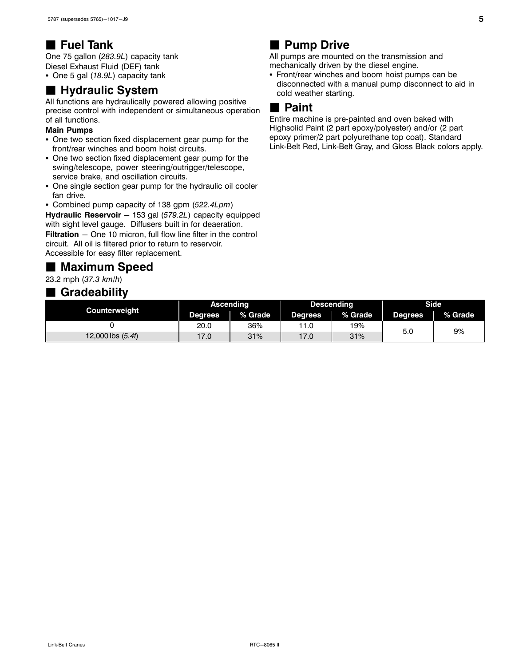### <span id="page-8-0"></span>- **Fuel Tank**

One 75 gallon (*283.9L*) capacity tank Diesel Exhaust Fluid (DEF) tank

• One 5 gal (18.9L) capacity tank

### $\blacksquare$  **Hydraulic System**

All functions are hydraulically powered allowing positive precise control with independent or simultaneous operation of all functions.

#### **Main Pumps**

- One two section fixed displacement gear pump for the front/rear winches and boom hoist circuits.
- One two section fixed displacement gear pump for the swing/telescope, power steering/outrigger/telescope, service brake, and oscillation circuits.
- One single section gear pump for the hydraulic oil cooler fan drive.
- Combined pump capacity of 138 gpm (*522.4Lpm*)

**Hydraulic Reservoir** - 153 gal (579.2L) capacity equipped with sight level gauge. Diffusers built in for deaeration. **Filtration** – One 10 micron, full flow line filter in the control

circuit. All oil is filtered prior to return to reservoir. Accessible for easy filter replacement.

### $\blacksquare$  **Maximum Speed**

23.2 mph (*37.3 km/h*)

#### - **Gradeability**

### **Pump Drive**

All pumps are mounted on the transmission and mechanically driven by the diesel engine.

- Front/rear winches and boom hoist pumps can be disconnected with a manual pump disconnect to aid in cold weather starting.

#### - **Paint**

Entire machine is pre-painted and oven baked with Highsolid Paint (2 part epoxy/polyester) and/or (2 part epoxy primer/2 part polyurethane top coat). Standard Link-Belt Red, Link-Belt Gray, and Gloss Black colors apply.

| <b>Counterweight</b> | <b>Ascending</b> |         |                | <b>Descending</b> | <b>Side</b>    |         |
|----------------------|------------------|---------|----------------|-------------------|----------------|---------|
|                      | <b>Degrees</b>   | % Grade | <b>Degrees</b> | % Grade           | <b>Degrees</b> | % Grade |
|                      | 20.0             | 36%     | 1.0            | 19%               |                |         |
| 12,000 lbs $(5.4t)$  | 7.0              | 31%     | 17.0           | 31%               | 5.0            | 9%      |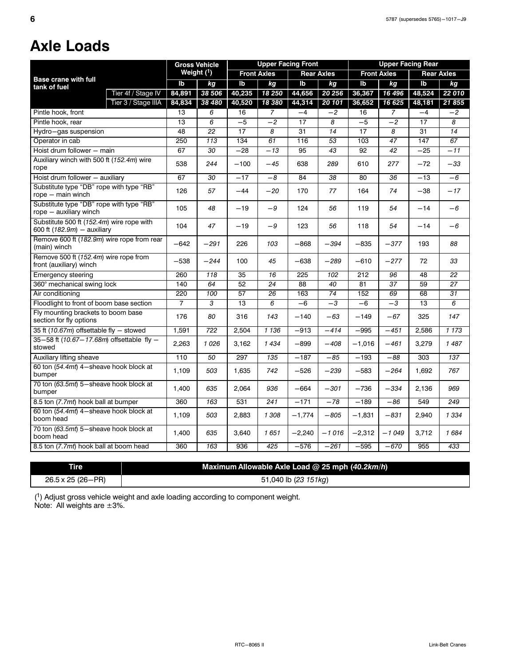# <span id="page-9-0"></span>**Axle Loads**

|                                                                            |                     |                 | <b>Gross Vehicle</b> |        |                    | <b>Upper Facing Front</b> |                | <b>Upper Facing Rear</b> |                    |                 |                   |
|----------------------------------------------------------------------------|---------------------|-----------------|----------------------|--------|--------------------|---------------------------|----------------|--------------------------|--------------------|-----------------|-------------------|
| <b>Base crane with full</b>                                                |                     | Weight (1)      |                      |        | <b>Front Axles</b> | <b>Rear Axles</b>         |                |                          | <b>Front Axles</b> |                 | <b>Rear Axles</b> |
| tank of fuel                                                               |                     | lb              | kg                   | lb     | kg                 | lb                        | kg             | lb                       | kg                 | lb              | kg                |
|                                                                            | Tier 4f / Stage IV  | 84,891          | 38 506               | 40,235 | 18 250             | 44,656                    | 20 25 6        | 36,367                   | 16 496             | 48,524          | 22 010            |
|                                                                            | Tier 3 / Stage IIIA | 84,834          | 38 480               | 40,520 | 18 380             | 44,314                    | 20 101         | 36,652                   | 16 625             | 48,181          | 21 855            |
| Pintle hook, front                                                         |                     | 13              | 6                    | 16     | $\overline{7}$     | $-4$                      | $-2$           | 16                       | 7                  | $-4$            | $-2$              |
| Pintle hook, rear                                                          |                     | $\overline{13}$ | 6                    | $-5$   | $-2$               | $\overline{17}$           | $\overline{8}$ | $-5$                     | $-2$               | $\overline{17}$ | 8                 |
| Hydro-gas suspension                                                       |                     | 48              | 22                   | 17     | $\overline{8}$     | 31                        | 14             | 17                       | 8                  | 31              | 14                |
| Operator in cab                                                            |                     | 250             | 113                  | 134    | 61                 | 116                       | 53             | 103                      | 47                 | 147             | 67                |
| Hoist drum follower - main                                                 |                     | 67              | $\overline{30}$      | $-28$  | $-13$              | $\overline{95}$           | 43             | $\overline{92}$          | $\overline{42}$    | $-25$           | $-11$             |
| Auxiliary winch with 500 ft (152.4m) wire<br>rope                          |                     | 538             | 244                  | $-100$ | $-45$              | 638                       | 289            | 610                      | 277                | $-72$           | $-33$             |
| Hoist drum follower - auxiliary                                            |                     | 67              | 30                   | $-17$  | $-8$               | 84                        | 38             | 80                       | 36                 | $-13$           | $-6$              |
| Substitute type "DB" rope with type "RB"<br>rope - main winch              |                     | 126             | 57                   | $-44$  | $-20$              | 170                       | 77             | 164                      | 74                 | $-38$           | $-17$             |
| Substitute type "DB" rope with type "RB"<br>rope - auxiliary winch         |                     | 105             | 48                   | $-19$  | $-9$               | 124                       | 56             | 119                      | 54                 | $-14$           | $-6$              |
| Substitute 500 ft (152.4m) wire rope with<br>600 ft $(182.9m)$ - auxiliary |                     | 104             | 47                   | $-19$  | $-9$               | 123                       | 56             | 118                      | 54                 | $-14$           | -6                |
| Remove 600 ft (182.9m) wire rope from rear<br>(main) winch                 |                     | $-642$          | $-291$               | 226    | 103                | $-868$                    | $-394$         | $-835$                   | $-377$             | 193             | 88                |
| Remove 500 ft (152.4m) wire rope from<br>front (auxiliary) winch           |                     | $-538$          | $-244$               | 100    | 45                 | $-638$                    | $-289$         | $-610$                   | $-277$             | 72              | 33                |
| <b>Emergency steering</b>                                                  |                     | 260             | 118                  | 35     | 16                 | 225                       | 102            | 212                      | 96                 | 48              | 22                |
| 360° mechanical swing lock                                                 |                     | 140             | 64                   | 52     | 24                 | 88                        | 40             | 81                       | 37                 | 59              | 27                |
| Air conditioning                                                           |                     | 220             | 100                  | 57     | 26                 | 163                       | 74             | 152                      | 69                 | 68              | 31                |
| Floodlight to front of boom base section                                   |                     | $\overline{7}$  | 3                    | 13     | 6                  | $-6$                      | $-3$           | $-6$                     | $-3$               | 13              | 6                 |
| Fly mounting brackets to boom base<br>section for fly options              |                     | 176             | 80                   | 316    | 143                | $-140$                    | $-63$          | $-149$                   | $-67$              | 325             | 147               |
| 35 ft (10.67m) offsettable fly - stowed                                    |                     | 1,591           | 722                  | 2.504  | 1 1 3 6            | $-913$                    | $-414$         | $-995$                   | $-451$             | 2,586           | 1 1 7 3           |
| 35-58 ft (10.67-17.68m) offsettable fly -<br>stowed                        |                     | 2,263           | 1026                 | 3,162  | 1434               | $-899$                    | $-408$         | $-1,016$                 | $-461$             | 3,279           | 1487              |
| Auxiliary lifting sheave                                                   |                     | 110             | 50                   | 297    | 135                | $-187$                    | $-85$          | $-193$                   | $-88$              | 303             | 137               |
| 60 ton (54.4mt) 4-sheave hook block at<br>bumper                           |                     | 1,109           | 503                  | 1,635  | 742                | $-526$                    | $-239$         | $-583$                   | $-264$             | 1,692           | 767               |
| 70 ton (63.5mt) 5-sheave hook block at<br>bumper                           |                     | 1.400           | 635                  | 2,064  | 936                | $-664$                    | $-301$         | $-736$                   | $-334$             | 2,136           | 969               |
| 8.5 ton (7.7mt) hook ball at bumper                                        |                     | 360             | 163                  | 531    | 241                | $-171$                    | $-78$          | $-189$                   | $-86$              | 549             | 249               |
| 60 ton (54.4mt) 4-sheave hook block at<br>boom head                        |                     | 1,109           | 503                  | 2,883  | 1 308              | $-1,774$                  | $-805$         | $-1,831$                 | $-831$             | 2,940           | 1 3 3 4           |
| 70 ton (63.5mt) 5-sheave hook block at<br>boom head                        |                     | 1,400           | 635                  | 3.640  | 1651               | $-2,240$                  | $-1016$        | $-2,312$                 | $-1049$            | 3,712           | 1684              |
| 8.5 ton (7.7mt) hook ball at boom head                                     |                     | 360             | 163                  | 936    | 425                | $-576$                    | $-261$         | $-595$                   | $-670$             | 955             | 433               |

|                            | Maximum Allowable Axle Load $@$ 25 mph (40.2km/h) |
|----------------------------|---------------------------------------------------|
| $26.5 \times 25 (26 - PR)$ | 51,040 lb (23 151kg)                              |

(1) Adjust gross vehicle weight and axle loading according to component weight. Note: All weights are  $\pm 3\%$ .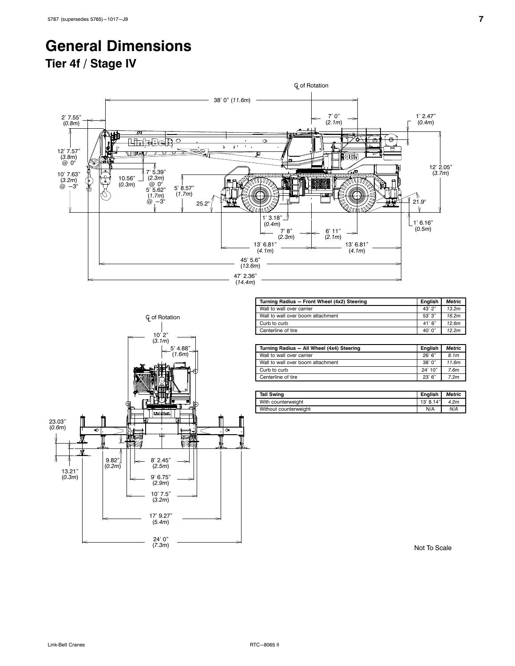### <span id="page-10-0"></span>**General Dimensions Tier 4f / Stage IV**

#### **Q** of Rotation 38' 0" (*11.6m*) 7' 0" (*2.1m*) 1' 2.47" (*0.4m*) 2' 7.55" (*0.8m*) <u> Hink+Belt</u>  $\circ$ ō  $\frac{1}{\mathfrak{g}}$  . 12' 7.57" (*3.8m*) @ 0° ∖⊪⊯-4  $\frac{1}{\sqrt{2}}$  $12' 2.05"$ 7' 5.39" (*3.7m*) 10' 7.63" (*3.2m*) @ -3° 10.56" WA)  $\mathcal{E}$ (*2.3m*) @ 0° 5' 5.62" (*1.7m*) @ -3° **KUITUTA** C đц (*0.3m*) ţ<br>Ö 5' 8.57" (*1.7m*) 21.9° 25.2° ann 1' 3.18" (*0.4m*) 1' 6.16" (*0.5m*)  $7' 8$ 6' 11" (*2.1m*) (*2.3m*) 13' 6.81" 13' 6.81" (*4.1m*) (*4.1m*) 45' 5.6" (*13.6m*) 47' 2.36" (*14.4m*) **Turning Radius - Front Wheel (4x2) Steering <b>English Metric**<br>
Wall to wall over carrier **All to wall over Carrier English English English English English English English** Wall to wall over carrier 43' 2" 13.2m<br>
Wall to wall over boom attachment<br>
53' 3" 16.2m **Q** of Rotation Wall to wall over boom attachment 53' 3" 16.2m<br>
Curb to curb  $41' 6" 12.6m$ Curb to curb 41' 6" *12.6m* Centerline of tire 40' 0" **12.2m** 10' 2" (*3.1m*) 5' 4.88" **Turning Radius - All Wheel (4x4) Steering English Metric Leap is a metric Wall to wall over carrier Wall to wall over carrier and the Vall of the Vall of the Vall of the Vall of the Vall of the Vall of the Vall of the Val** (*1.6m*) Wall to wall over carrier 26' 6" **8.1m**<br>
Wall to wall over boom attachment 38' 0" 11.6m Wall to wall over boom attachment 38' 0" 11.6m<br>
Curb to curb 38' 0" 11.6m<br>
24' 10" 7.6m Curb to curb 24' 10" *7.6m* **Centerline of tire** 23' 6" **7.2m Tail Swing English** *Metric* With counterweight 13' 8.14" *4.2m* Without counterweight N/A *N/A N/A* **Lunds** 23.03" (*0.6m*) ब  $\overline{r}$  $\mathbf{\hat{V}}$ ДΘ  $\begin{bmatrix} 9.82 \\ (0.2m) \end{bmatrix}$ 8' 2.45" (*2.5m*)(*0.2m*) 13.21" 9' 6.75" (*0.3m*) (*2.9m*)

Not To Scale

10' 7.5" (*3.2m*) 17' 9.27" (*5.4m*)

24' 0" (*7.3m*)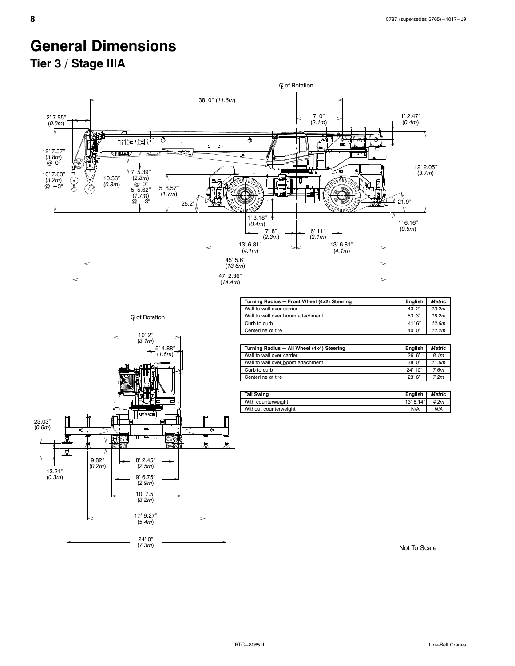# <span id="page-11-0"></span>**General Dimensions**

### **Tier 3 / Stage IIIA**



Not To Scale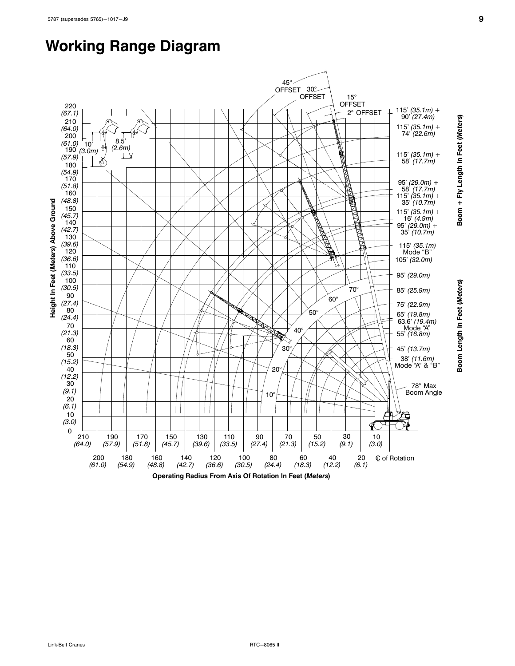## <span id="page-12-0"></span>**Working Range Diagram**

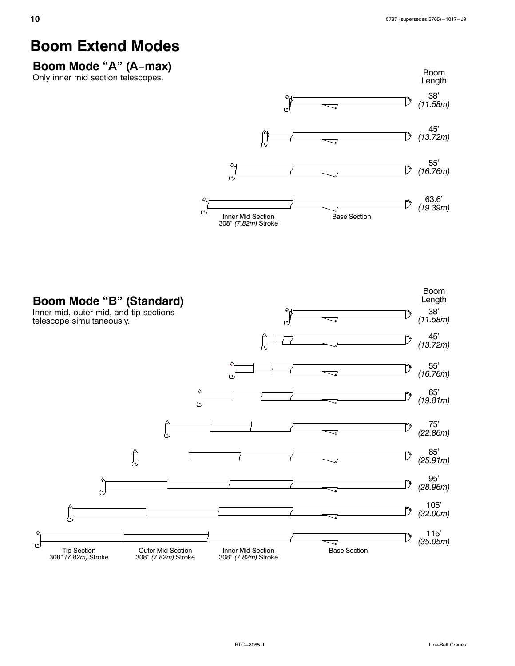# <span id="page-13-0"></span>**Boom Extend Modes**

### **Boom Mode "A" (A−max)**

Only inner mid section telescopes.

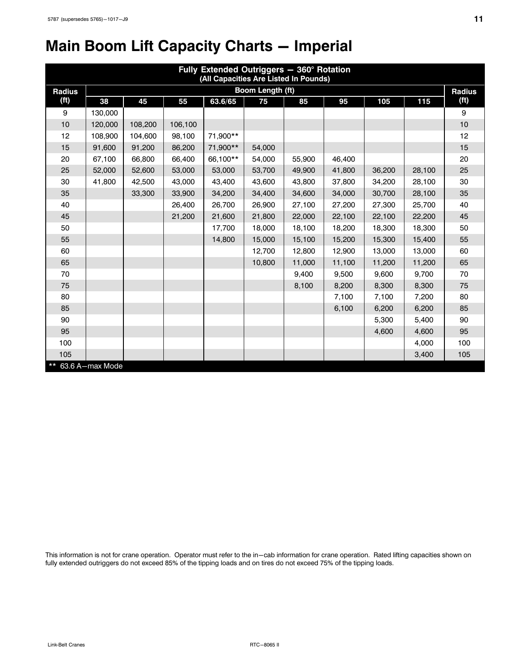# <span id="page-14-0"></span>**Main Boom Lift Capacity Charts - Imperial**

| Fully Extended Outriggers - 360° Rotation<br>(All Capacities Are Listed In Pounds) |                    |         |         |          |                         |        |        |        |        |                   |  |
|------------------------------------------------------------------------------------|--------------------|---------|---------|----------|-------------------------|--------|--------|--------|--------|-------------------|--|
| <b>Radius</b>                                                                      |                    |         |         |          | <b>Boom Length (ft)</b> |        |        |        |        | <b>Radius</b>     |  |
| (f <sup>t</sup> )                                                                  | 38                 | 45      | 55      | 63.6/65  | 75                      | 85     | 95     | 105    | 115    | (f <sup>t</sup> ) |  |
| 9                                                                                  | 130,000            |         |         |          |                         |        |        |        |        | 9                 |  |
| 10                                                                                 | 120,000            | 108,200 | 106,100 |          |                         |        |        |        |        | 10                |  |
| 12                                                                                 | 108.900            | 104,600 | 98,100  | 71.900** |                         |        |        |        |        | 12                |  |
| 15                                                                                 | 91,600             | 91,200  | 86,200  | 71.900** | 54,000                  |        |        |        |        | 15                |  |
| 20                                                                                 | 67,100             | 66,800  | 66,400  | 66,100** | 54,000                  | 55,900 | 46,400 |        |        | 20                |  |
| 25                                                                                 | 52,000             | 52,600  | 53,000  | 53,000   | 53,700                  | 49,900 | 41,800 | 36,200 | 28,100 | 25                |  |
| 30                                                                                 | 41,800             | 42.500  | 43.000  | 43.400   | 43,600                  | 43.800 | 37,800 | 34,200 | 28,100 | 30                |  |
| 35                                                                                 |                    | 33,300  | 33,900  | 34,200   | 34,400                  | 34,600 | 34,000 | 30,700 | 28,100 | 35                |  |
| 40                                                                                 |                    |         | 26,400  | 26,700   | 26,900                  | 27,100 | 27,200 | 27,300 | 25,700 | 40                |  |
| 45                                                                                 |                    |         | 21,200  | 21,600   | 21,800                  | 22,000 | 22,100 | 22,100 | 22,200 | 45                |  |
| 50                                                                                 |                    |         |         | 17,700   | 18,000                  | 18,100 | 18,200 | 18,300 | 18,300 | 50                |  |
| 55                                                                                 |                    |         |         | 14,800   | 15,000                  | 15,100 | 15,200 | 15,300 | 15,400 | 55                |  |
| 60                                                                                 |                    |         |         |          | 12,700                  | 12,800 | 12,900 | 13,000 | 13,000 | 60                |  |
| 65                                                                                 |                    |         |         |          | 10,800                  | 11,000 | 11,100 | 11,200 | 11,200 | 65                |  |
| 70                                                                                 |                    |         |         |          |                         | 9,400  | 9,500  | 9,600  | 9,700  | 70                |  |
| 75                                                                                 |                    |         |         |          |                         | 8,100  | 8,200  | 8,300  | 8,300  | 75                |  |
| 80                                                                                 |                    |         |         |          |                         |        | 7,100  | 7,100  | 7,200  | 80                |  |
| 85                                                                                 |                    |         |         |          |                         |        | 6,100  | 6,200  | 6,200  | 85                |  |
| 90                                                                                 |                    |         |         |          |                         |        |        | 5,300  | 5,400  | 90                |  |
| 95                                                                                 |                    |         |         |          |                         |        |        | 4,600  | 4,600  | 95                |  |
| 100                                                                                |                    |         |         |          |                         |        |        |        | 4,000  | 100               |  |
| 105                                                                                |                    |         |         |          |                         |        |        |        | 3,400  | 105               |  |
|                                                                                    | ** 63.6 A-max Mode |         |         |          |                         |        |        |        |        |                   |  |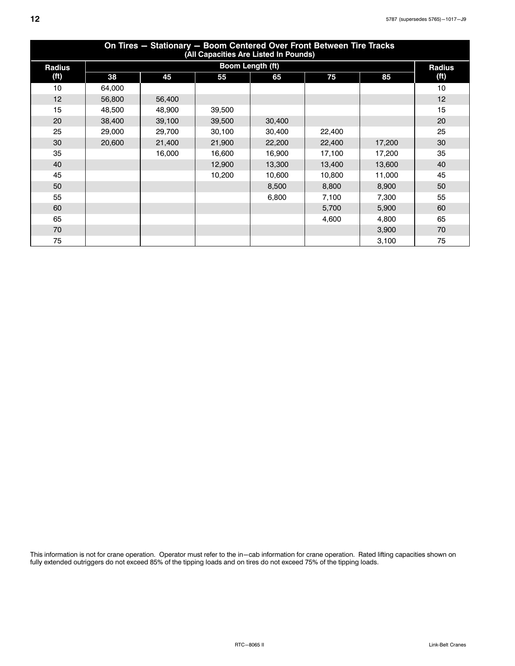<span id="page-15-0"></span>

| On Tires - Stationary - Boom Centered Over Front Between Tire Tracks<br>(All Capacities Are Listed In Pounds) |        |        |        |                  |        |        |                   |  |  |  |  |
|---------------------------------------------------------------------------------------------------------------|--------|--------|--------|------------------|--------|--------|-------------------|--|--|--|--|
| Radius                                                                                                        |        |        |        | Boom Length (ft) |        |        | Radius            |  |  |  |  |
| (f <sup>t</sup> )                                                                                             | 38     | 45     | 55     | 65               | 75     | 85     | (f <sup>t</sup> ) |  |  |  |  |
| 10                                                                                                            | 64,000 |        |        |                  |        |        | 10                |  |  |  |  |
| 12                                                                                                            | 56,800 | 56,400 |        |                  |        |        | 12                |  |  |  |  |
| 15                                                                                                            | 48,500 | 48,900 | 39,500 |                  |        |        | 15                |  |  |  |  |
| 20                                                                                                            | 38,400 | 39,100 | 39,500 | 30,400           |        |        | 20                |  |  |  |  |
| 25                                                                                                            | 29,000 | 29,700 | 30,100 | 30,400           | 22,400 |        | 25                |  |  |  |  |
| 30                                                                                                            | 20,600 | 21,400 | 21,900 | 22,200           | 22,400 | 17,200 | 30                |  |  |  |  |
| 35                                                                                                            |        | 16,000 | 16,600 | 16,900           | 17,100 | 17,200 | 35                |  |  |  |  |
| 40                                                                                                            |        |        | 12,900 | 13,300           | 13,400 | 13,600 | 40                |  |  |  |  |
| 45                                                                                                            |        |        | 10,200 | 10,600           | 10,800 | 11,000 | 45                |  |  |  |  |
| 50                                                                                                            |        |        |        | 8,500            | 8,800  | 8,900  | 50                |  |  |  |  |
| 55                                                                                                            |        |        |        | 6,800            | 7,100  | 7,300  | 55                |  |  |  |  |
| 60                                                                                                            |        |        |        |                  | 5,700  | 5,900  | 60                |  |  |  |  |
| 65                                                                                                            |        |        |        |                  | 4,600  | 4,800  | 65                |  |  |  |  |
| 70                                                                                                            |        |        |        |                  |        | 3,900  | 70                |  |  |  |  |
| 75                                                                                                            |        |        |        |                  |        | 3,100  | 75                |  |  |  |  |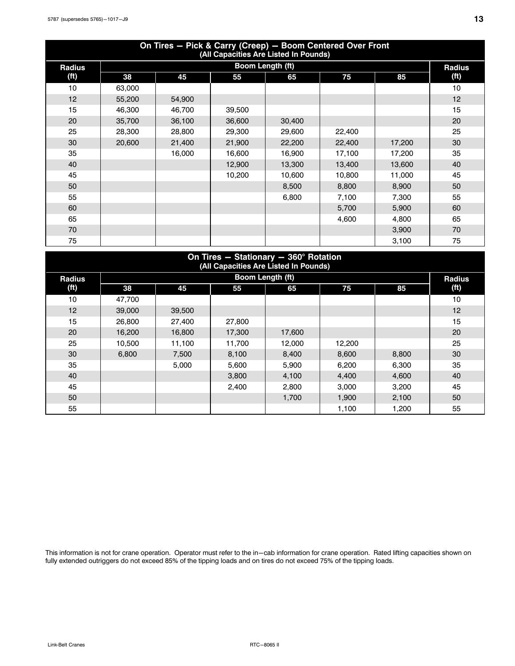<span id="page-16-0"></span>

| On Tires - Pick & Carry (Creep) - Boom Centered Over Front<br>(All Capacities Are Listed In Pounds) |        |        |                  |        |        |        |                   |  |  |  |  |
|-----------------------------------------------------------------------------------------------------|--------|--------|------------------|--------|--------|--------|-------------------|--|--|--|--|
| Radius                                                                                              |        |        | Boom Length (ft) |        |        |        | <b>Radius</b>     |  |  |  |  |
| (f <sup>t</sup> )                                                                                   | 38     | 45     | 55               | 65     | 75     | 85     | (f <sup>t</sup> ) |  |  |  |  |
| 10                                                                                                  | 63,000 |        |                  |        |        |        | 10                |  |  |  |  |
| 12                                                                                                  | 55,200 | 54,900 |                  |        |        |        | 12                |  |  |  |  |
| 15                                                                                                  | 46,300 | 46,700 | 39,500           |        |        |        | 15                |  |  |  |  |
| 20                                                                                                  | 35,700 | 36,100 | 36,600           | 30,400 |        |        | 20                |  |  |  |  |
| 25                                                                                                  | 28,300 | 28,800 | 29,300           | 29,600 | 22,400 |        | 25                |  |  |  |  |
| 30                                                                                                  | 20,600 | 21,400 | 21,900           | 22,200 | 22,400 | 17,200 | 30                |  |  |  |  |
| 35                                                                                                  |        | 16,000 | 16,600           | 16,900 | 17,100 | 17,200 | 35                |  |  |  |  |
| 40                                                                                                  |        |        | 12,900           | 13,300 | 13,400 | 13,600 | 40                |  |  |  |  |
| 45                                                                                                  |        |        | 10,200           | 10,600 | 10,800 | 11,000 | 45                |  |  |  |  |
| 50                                                                                                  |        |        |                  | 8,500  | 8,800  | 8,900  | 50                |  |  |  |  |
| 55                                                                                                  |        |        |                  | 6,800  | 7,100  | 7,300  | 55                |  |  |  |  |
| 60                                                                                                  |        |        |                  |        | 5,700  | 5,900  | 60                |  |  |  |  |
| 65                                                                                                  |        |        |                  |        | 4,600  | 4,800  | 65                |  |  |  |  |
| 70                                                                                                  |        |        |                  |        |        | 3,900  | 70                |  |  |  |  |
| 75                                                                                                  |        |        |                  |        |        | 3,100  | 75                |  |  |  |  |

| On Tires - Stationary - $360^\circ$ Rotation<br>(All Capacities Are Listed In Pounds) |                  |        |        |        |        |       |                   |  |  |  |  |
|---------------------------------------------------------------------------------------|------------------|--------|--------|--------|--------|-------|-------------------|--|--|--|--|
| <b>Radius</b>                                                                         | Boom Length (ft) |        |        |        |        |       |                   |  |  |  |  |
| (f <sup>t</sup> )                                                                     | 38               | 45     | 55     | 65     | 75     | 85    | (f <sup>t</sup> ) |  |  |  |  |
| 10                                                                                    | 47,700           |        |        |        |        |       | 10                |  |  |  |  |
| 12                                                                                    | 39,000           | 39,500 |        |        |        |       | 12                |  |  |  |  |
| 15                                                                                    | 26,800           | 27,400 | 27,800 |        |        |       | 15                |  |  |  |  |
| 20                                                                                    | 16,200           | 16,800 | 17,300 | 17,600 |        |       | 20                |  |  |  |  |
| 25                                                                                    | 10,500           | 11,100 | 11,700 | 12,000 | 12,200 |       | 25                |  |  |  |  |
| 30                                                                                    | 6,800            | 7,500  | 8,100  | 8,400  | 8,600  | 8,800 | 30                |  |  |  |  |
| 35                                                                                    |                  | 5,000  | 5,600  | 5,900  | 6,200  | 6,300 | 35                |  |  |  |  |
| 40                                                                                    |                  |        | 3,800  | 4,100  | 4,400  | 4,600 | 40                |  |  |  |  |
| 45                                                                                    |                  |        | 2,400  | 2,800  | 3,000  | 3,200 | 45                |  |  |  |  |
| 50                                                                                    |                  |        |        | 1,700  | 1,900  | 2,100 | 50                |  |  |  |  |
| 55                                                                                    |                  |        |        |        | 1,100  | 1,200 | 55                |  |  |  |  |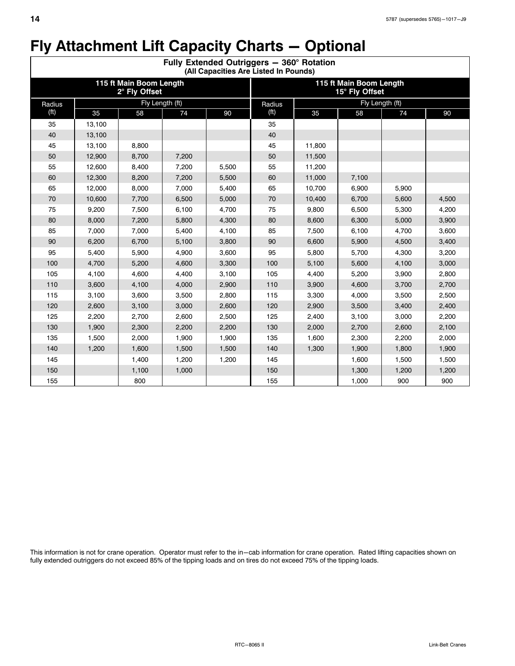# <span id="page-17-0"></span>**Fly Attachment Lift Capacity Charts - Optional**

|                   | Fully Extended Outriggers - 360° Rotation<br>(All Capacities Are Listed In Pounds) |                                          |       |       |                                           |        |                 |       |       |  |  |  |  |
|-------------------|------------------------------------------------------------------------------------|------------------------------------------|-------|-------|-------------------------------------------|--------|-----------------|-------|-------|--|--|--|--|
|                   |                                                                                    | 115 ft Main Boom Length<br>2° Fly Offset |       |       | 115 ft Main Boom Length<br>15° Fly Offset |        |                 |       |       |  |  |  |  |
| Radius            |                                                                                    | Fly Length (ft)                          |       |       | Radius                                    |        | Fly Length (ft) |       |       |  |  |  |  |
| (f <sup>t</sup> ) | 35                                                                                 | 58                                       | 74    | 90    | (f <sup>t</sup> )                         | 35     | 58              | 74    | 90    |  |  |  |  |
| 35                | 13,100                                                                             |                                          |       |       | 35                                        |        |                 |       |       |  |  |  |  |
| 40                | 13,100                                                                             |                                          |       |       | 40                                        |        |                 |       |       |  |  |  |  |
| 45                | 13,100                                                                             | 8,800                                    |       |       | 45                                        | 11,800 |                 |       |       |  |  |  |  |
| 50                | 12,900                                                                             | 8,700                                    | 7,200 |       | 50                                        | 11,500 |                 |       |       |  |  |  |  |
| 55                | 12,600                                                                             | 8,400                                    | 7,200 | 5,500 | 55                                        | 11,200 |                 |       |       |  |  |  |  |
| 60                | 12,300                                                                             | 8,200                                    | 7,200 | 5,500 | 60                                        | 11,000 | 7,100           |       |       |  |  |  |  |
| 65                | 12,000                                                                             | 8,000                                    | 7,000 | 5,400 | 65                                        | 10,700 | 6,900           | 5,900 |       |  |  |  |  |
| 70                | 10,600                                                                             | 7,700                                    | 6,500 | 5,000 | 70                                        | 10,400 | 6,700           | 5,600 | 4,500 |  |  |  |  |
| 75                | 9,200                                                                              | 7,500                                    | 6,100 | 4,700 | 75                                        | 9,800  | 6,500           | 5,300 | 4,200 |  |  |  |  |
| 80                | 8,000                                                                              | 7,200                                    | 5,800 | 4,300 | 80                                        | 8,600  | 6,300           | 5,000 | 3,900 |  |  |  |  |
| 85                | 7,000                                                                              | 7,000                                    | 5,400 | 4,100 | 85                                        | 7,500  | 6,100           | 4,700 | 3,600 |  |  |  |  |
| 90                | 6,200                                                                              | 6,700                                    | 5,100 | 3,800 | 90                                        | 6,600  | 5,900           | 4,500 | 3,400 |  |  |  |  |
| 95                | 5,400                                                                              | 5,900                                    | 4,900 | 3,600 | 95                                        | 5,800  | 5,700           | 4,300 | 3,200 |  |  |  |  |
| 100               | 4,700                                                                              | 5,200                                    | 4,600 | 3,300 | 100                                       | 5,100  | 5,600           | 4,100 | 3,000 |  |  |  |  |
| 105               | 4,100                                                                              | 4,600                                    | 4,400 | 3,100 | 105                                       | 4,400  | 5,200           | 3,900 | 2,800 |  |  |  |  |
| 110               | 3,600                                                                              | 4,100                                    | 4,000 | 2,900 | 110                                       | 3,900  | 4,600           | 3,700 | 2,700 |  |  |  |  |
| 115               | 3,100                                                                              | 3,600                                    | 3,500 | 2,800 | 115                                       | 3,300  | 4,000           | 3,500 | 2,500 |  |  |  |  |
| 120               | 2,600                                                                              | 3,100                                    | 3,000 | 2,600 | 120                                       | 2,900  | 3,500           | 3,400 | 2,400 |  |  |  |  |
| 125               | 2,200                                                                              | 2,700                                    | 2,600 | 2,500 | 125                                       | 2,400  | 3,100           | 3,000 | 2,200 |  |  |  |  |
| 130               | 1,900                                                                              | 2,300                                    | 2,200 | 2,200 | 130                                       | 2,000  | 2,700           | 2,600 | 2,100 |  |  |  |  |
| 135               | 1,500                                                                              | 2,000                                    | 1,900 | 1,900 | 135                                       | 1,600  | 2,300           | 2,200 | 2,000 |  |  |  |  |
| 140               | 1,200                                                                              | 1,600                                    | 1,500 | 1,500 | 140                                       | 1,300  | 1,900           | 1,800 | 1,900 |  |  |  |  |
| 145               |                                                                                    | 1,400                                    | 1,200 | 1,200 | 145                                       |        | 1,600           | 1,500 | 1,500 |  |  |  |  |
| 150               |                                                                                    | 1,100                                    | 1,000 |       | 150                                       |        | 1,300           | 1,200 | 1,200 |  |  |  |  |
| 155               |                                                                                    | 800                                      |       |       | 155                                       |        | 1,000           | 900   | 900   |  |  |  |  |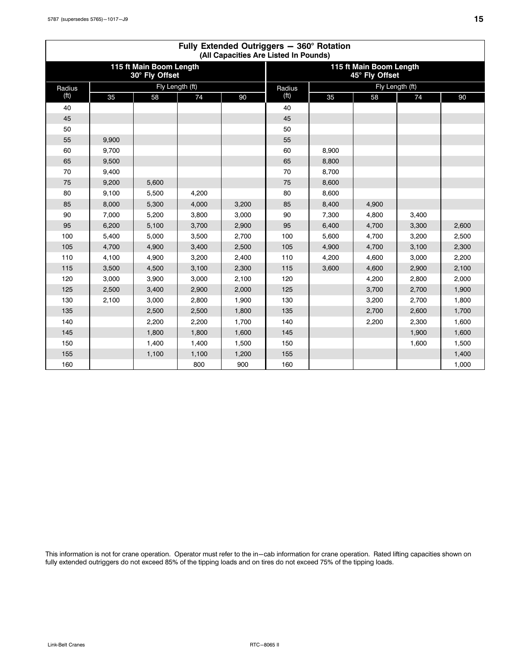<span id="page-18-0"></span>

|                   | Fully Extended Outriggers - 360° Rotation<br>(All Capacities Are Listed In Pounds) |                                           |       |       |                   |                 |                                           |       |       |  |  |  |  |  |
|-------------------|------------------------------------------------------------------------------------|-------------------------------------------|-------|-------|-------------------|-----------------|-------------------------------------------|-------|-------|--|--|--|--|--|
|                   |                                                                                    | 115 ft Main Boom Length<br>30° Fly Offset |       |       |                   |                 | 115 ft Main Boom Length<br>45° Fly Offset |       |       |  |  |  |  |  |
| Radius            |                                                                                    | Fly Length (ft)                           |       |       | Radius            | Fly Length (ft) |                                           |       |       |  |  |  |  |  |
| (f <sup>t</sup> ) | 35                                                                                 | 58                                        | 74    | 90    | (f <sup>t</sup> ) | 35              | 58                                        | 74    | 90    |  |  |  |  |  |
| 40                |                                                                                    |                                           |       |       | 40                |                 |                                           |       |       |  |  |  |  |  |
| 45                |                                                                                    |                                           |       |       | 45                |                 |                                           |       |       |  |  |  |  |  |
| 50                |                                                                                    |                                           |       |       | 50                |                 |                                           |       |       |  |  |  |  |  |
| 55                | 9,900                                                                              |                                           |       |       | 55                |                 |                                           |       |       |  |  |  |  |  |
| 60                | 9,700                                                                              |                                           |       |       | 60                | 8,900           |                                           |       |       |  |  |  |  |  |
| 65                | 9,500                                                                              |                                           |       |       | 65                | 8,800           |                                           |       |       |  |  |  |  |  |
| 70                | 9,400                                                                              |                                           |       |       | 70                | 8,700           |                                           |       |       |  |  |  |  |  |
| 75                | 9,200                                                                              | 5,600                                     |       |       | 75                | 8,600           |                                           |       |       |  |  |  |  |  |
| 80                | 9,100                                                                              | 5,500                                     | 4,200 |       | 80                | 8,600           |                                           |       |       |  |  |  |  |  |
| 85                | 8,000                                                                              | 5,300                                     | 4,000 | 3,200 | 85                | 8,400           | 4,900                                     |       |       |  |  |  |  |  |
| 90                | 7,000                                                                              | 5,200                                     | 3,800 | 3,000 | 90                | 7,300           | 4,800                                     | 3,400 |       |  |  |  |  |  |
| 95                | 6,200                                                                              | 5,100                                     | 3,700 | 2,900 | 95                | 6,400           | 4,700                                     | 3,300 | 2,600 |  |  |  |  |  |
| 100               | 5,400                                                                              | 5,000                                     | 3,500 | 2,700 | 100               | 5,600           | 4,700                                     | 3,200 | 2,500 |  |  |  |  |  |
| 105               | 4,700                                                                              | 4,900                                     | 3,400 | 2,500 | 105               | 4,900           | 4,700                                     | 3,100 | 2,300 |  |  |  |  |  |
| 110               | 4,100                                                                              | 4,900                                     | 3,200 | 2,400 | 110               | 4,200           | 4,600                                     | 3,000 | 2,200 |  |  |  |  |  |
| 115               | 3,500                                                                              | 4,500                                     | 3,100 | 2,300 | 115               | 3,600           | 4,600                                     | 2,900 | 2,100 |  |  |  |  |  |
| 120               | 3,000                                                                              | 3,900                                     | 3,000 | 2,100 | 120               |                 | 4,200                                     | 2,800 | 2,000 |  |  |  |  |  |
| 125               | 2,500                                                                              | 3,400                                     | 2,900 | 2,000 | 125               |                 | 3,700                                     | 2,700 | 1,900 |  |  |  |  |  |
| 130               | 2,100                                                                              | 3,000                                     | 2,800 | 1,900 | 130               |                 | 3,200                                     | 2,700 | 1,800 |  |  |  |  |  |
| 135               |                                                                                    | 2,500                                     | 2,500 | 1,800 | 135               |                 | 2,700                                     | 2,600 | 1,700 |  |  |  |  |  |
| 140               |                                                                                    | 2,200                                     | 2,200 | 1,700 | 140               |                 | 2,200                                     | 2,300 | 1,600 |  |  |  |  |  |
| 145               |                                                                                    | 1,800                                     | 1,800 | 1,600 | 145               |                 |                                           | 1,900 | 1,600 |  |  |  |  |  |
| 150               |                                                                                    | 1,400                                     | 1,400 | 1,500 | 150               |                 |                                           | 1,600 | 1,500 |  |  |  |  |  |
| 155               |                                                                                    | 1,100                                     | 1,100 | 1,200 | 155               |                 |                                           |       | 1,400 |  |  |  |  |  |
| 160               |                                                                                    |                                           | 800   | 900   | 160               |                 |                                           |       | 1,000 |  |  |  |  |  |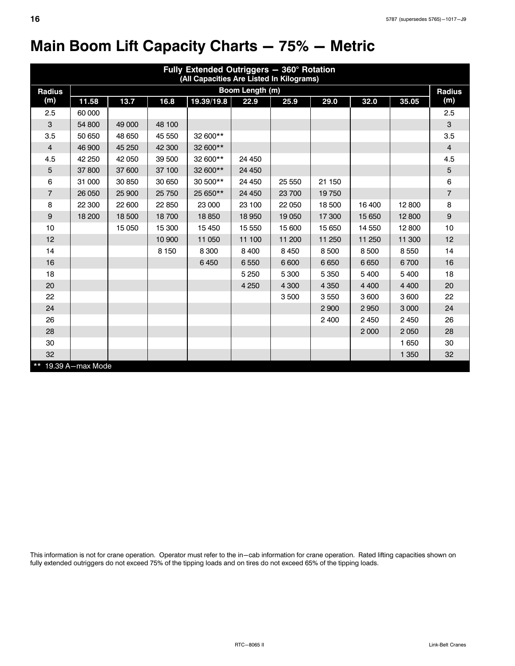# <span id="page-19-0"></span>**Main Boom Lift Capacity Charts - 75% - Metric**

|                     |        |        |         | Fully Extended Outriggers - 360° Rotation<br>(All Capacities Are Listed In Kilograms) |                 |         |         |         |         |                |
|---------------------|--------|--------|---------|---------------------------------------------------------------------------------------|-----------------|---------|---------|---------|---------|----------------|
| Radius              |        |        |         |                                                                                       | Boom Length (m) |         |         |         |         | <b>Radius</b>  |
| (m)                 | 11.58  | 13.7   | 16.8    | 19.39/19.8                                                                            | 22.9            | 25.9    | 29.0    | 32.0    | 35.05   | (m)            |
| 2.5                 | 60 000 |        |         |                                                                                       |                 |         |         |         |         | 2.5            |
| 3                   | 54 800 | 49 000 | 48 100  |                                                                                       |                 |         |         |         |         | 3              |
| 3.5                 | 50 650 | 48 650 | 45 550  | 32 600**                                                                              |                 |         |         |         |         | 3.5            |
| $\overline{4}$      | 46 900 | 45 250 | 42 300  | 32 600**                                                                              |                 |         |         |         |         | $\overline{4}$ |
| 4.5                 | 42 250 | 42 050 | 39 500  | 32 600**                                                                              | 24 450          |         |         |         |         | 4.5            |
| 5                   | 37800  | 37 600 | 37 100  | 32 600**                                                                              | 24 450          |         |         |         |         | 5              |
| 6                   | 31 000 | 30 850 | 30 650  | 30 500**                                                                              | 24 450          | 25 550  | 21 150  |         |         | 6              |
| $\overline{7}$      | 26 050 | 25 900 | 25 750  | 25 650**                                                                              | 24 450          | 23 700  | 19750   |         |         | $\overline{7}$ |
| 8                   | 22 300 | 22 600 | 22 850  | 23 000                                                                                | 23 100          | 22 050  | 18 500  | 16 400  | 12800   | 8              |
| 9                   | 18 200 | 18 500 | 18700   | 18850                                                                                 | 18 950          | 19 050  | 17 300  | 15 650  | 12800   | 9              |
| 10                  |        | 15 050 | 15 300  | 15 450                                                                                | 15 550          | 15 600  | 15 650  | 14 550  | 12800   | 10             |
| 12                  |        |        | 10 900  | 11 050                                                                                | 11 100          | 11 200  | 11 250  | 11 250  | 11 300  | 12             |
| 14                  |        |        | 8 1 5 0 | 8 3 0 0                                                                               | 8 4 0 0         | 8 4 5 0 | 8500    | 8500    | 8550    | 14             |
| 16                  |        |        |         | 6450                                                                                  | 6550            | 6 600   | 6650    | 6650    | 6700    | 16             |
| 18                  |        |        |         |                                                                                       | 5 2 5 0         | 5 300   | 5 3 5 0 | 5400    | 5400    | 18             |
| 20                  |        |        |         |                                                                                       | 4 2 5 0         | 4 3 0 0 | 4 3 5 0 | 4 4 0 0 | 4 4 0 0 | 20             |
| 22                  |        |        |         |                                                                                       |                 | 3500    | 3550    | 3600    | 3600    | 22             |
| 24                  |        |        |         |                                                                                       |                 |         | 2 9 0 0 | 2950    | 3 0 0 0 | 24             |
| 26                  |        |        |         |                                                                                       |                 |         | 2 4 0 0 | 2450    | 2450    | 26             |
| 28                  |        |        |         |                                                                                       |                 |         |         | 2 0 0 0 | 2050    | 28             |
| 30                  |        |        |         |                                                                                       |                 |         |         |         | 1650    | 30             |
| 32                  |        |        |         |                                                                                       |                 |         |         |         | 1 3 5 0 | 32             |
| ** 19.39 A-max Mode |        |        |         |                                                                                       |                 |         |         |         |         |                |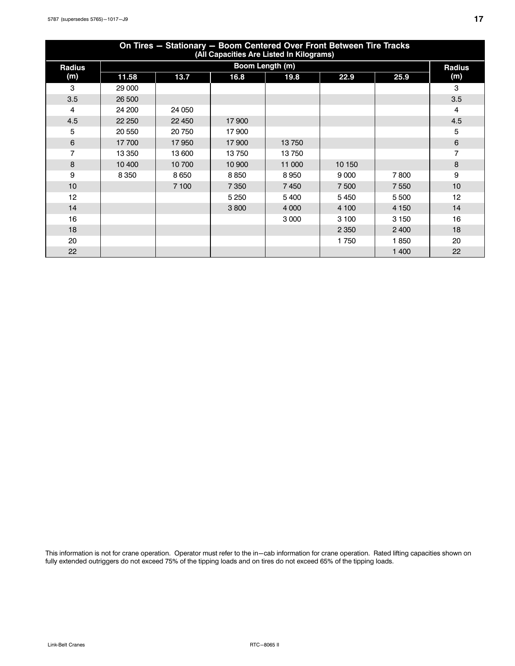<span id="page-20-0"></span>

|               | On Tires - Stationary - Boom Centered Over Front Between Tire Tracks<br>(All Capacities Are Listed In Kilograms) |        |                 |         |         |         |               |  |  |  |  |  |  |
|---------------|------------------------------------------------------------------------------------------------------------------|--------|-----------------|---------|---------|---------|---------------|--|--|--|--|--|--|
| <b>Radius</b> |                                                                                                                  |        | Boom Length (m) |         |         |         | <b>Radius</b> |  |  |  |  |  |  |
| (m)           | 11.58                                                                                                            | 13.7   | 16.8            | 19.8    | 22.9    | 25.9    | (m)           |  |  |  |  |  |  |
| 3             | 29 000                                                                                                           |        |                 |         |         |         | 3             |  |  |  |  |  |  |
| 3.5           | 26 500                                                                                                           |        |                 |         |         |         | 3.5           |  |  |  |  |  |  |
| 4             | 24 200                                                                                                           | 24 050 |                 |         |         |         | 4             |  |  |  |  |  |  |
| 4.5           | 22 250                                                                                                           | 22 450 | 17 900          |         |         |         | 4.5           |  |  |  |  |  |  |
| 5             | 20 550                                                                                                           | 20 750 | 17 900          |         |         |         | 5             |  |  |  |  |  |  |
| 6             | 17700                                                                                                            | 17950  | 17 900          | 13750   |         |         | 6             |  |  |  |  |  |  |
| 7             | 13 350                                                                                                           | 13 600 | 13750           | 13750   |         |         | 7             |  |  |  |  |  |  |
| 8             | 10 400                                                                                                           | 10 700 | 10 900          | 11 000  | 10 150  |         | 8             |  |  |  |  |  |  |
| 9             | 8 3 5 0                                                                                                          | 8650   | 8850            | 8950    | 9 0 0 0 | 7800    | 9             |  |  |  |  |  |  |
| 10            |                                                                                                                  | 7 100  | 7 3 5 0         | 7450    | 7500    | 7550    | 10            |  |  |  |  |  |  |
| 12            |                                                                                                                  |        | 5 2 5 0         | 5 4 0 0 | 5450    | 5 500   | 12            |  |  |  |  |  |  |
| 14            |                                                                                                                  |        | 3800            | 4 0 0 0 | 4 100   | 4 1 5 0 | 14            |  |  |  |  |  |  |
| 16            |                                                                                                                  |        |                 | 3 0 0 0 | 3 100   | 3 1 5 0 | 16            |  |  |  |  |  |  |
| 18            |                                                                                                                  |        |                 |         | 2 3 5 0 | 2 4 0 0 | 18            |  |  |  |  |  |  |
| 20            |                                                                                                                  |        |                 |         | 1750    | 1850    | 20            |  |  |  |  |  |  |
| 22            |                                                                                                                  |        |                 |         |         | 1 400   | 22            |  |  |  |  |  |  |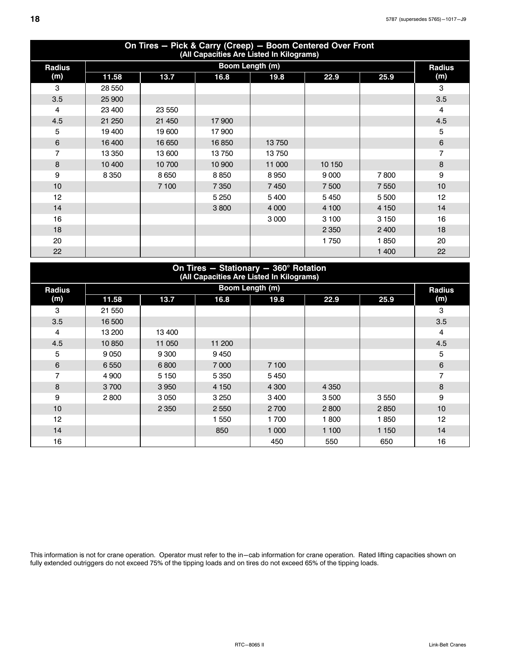<span id="page-21-0"></span>

|        | On Tires - Pick & Carry (Creep) - Boom Centered Over Front<br>(All Capacities Are Listed In Kilograms) |        |         |                 |         |         |               |  |  |  |  |  |  |
|--------|--------------------------------------------------------------------------------------------------------|--------|---------|-----------------|---------|---------|---------------|--|--|--|--|--|--|
| Radius |                                                                                                        |        |         | Boom Length (m) |         |         | <b>Radius</b> |  |  |  |  |  |  |
| (m)    | 11.58                                                                                                  | 13.7   | 16.8    | 19.8            | 22.9    | 25.9    | (m)           |  |  |  |  |  |  |
| 3      | 28 550                                                                                                 |        |         |                 |         |         | 3             |  |  |  |  |  |  |
| 3.5    | 25 900                                                                                                 |        |         |                 |         |         | 3.5           |  |  |  |  |  |  |
| 4      | 23 400                                                                                                 | 23 550 |         |                 |         |         | 4             |  |  |  |  |  |  |
| 4.5    | 21 250                                                                                                 | 21 450 | 17 900  |                 |         |         | 4.5           |  |  |  |  |  |  |
| 5      | 19 400                                                                                                 | 19600  | 17 900  |                 |         |         | 5             |  |  |  |  |  |  |
| 6      | 16 400                                                                                                 | 16 650 | 16850   | 13750           |         |         | 6             |  |  |  |  |  |  |
| 7      | 13 3 50                                                                                                | 13 600 | 13750   | 13750           |         |         | 7             |  |  |  |  |  |  |
| 8      | 10 400                                                                                                 | 10700  | 10 900  | 11 000          | 10 150  |         | 8             |  |  |  |  |  |  |
| 9      | 8 3 5 0                                                                                                | 8650   | 8850    | 8950            | 9 0 0 0 | 7800    | 9             |  |  |  |  |  |  |
| 10     |                                                                                                        | 7 100  | 7 3 5 0 | 7 4 5 0         | 7500    | 7550    | 10            |  |  |  |  |  |  |
| 12     |                                                                                                        |        | 5 2 5 0 | 5 4 0 0         | 5450    | 5 5 0 0 | 12            |  |  |  |  |  |  |
| 14     |                                                                                                        |        | 3800    | 4 0 0 0         | 4 100   | 4 1 5 0 | 14            |  |  |  |  |  |  |
| 16     |                                                                                                        |        |         | 3 0 0 0         | 3 100   | 3 1 5 0 | 16            |  |  |  |  |  |  |
| 18     |                                                                                                        |        |         |                 | 2 3 5 0 | 2 4 0 0 | 18            |  |  |  |  |  |  |
| 20     |                                                                                                        |        |         |                 | 1750    | 1850    | 20            |  |  |  |  |  |  |
| 22     |                                                                                                        |        |         |                 |         | 1 400   | 22            |  |  |  |  |  |  |

|                | On Tires - Stationary - $360^\circ$ Rotation<br>(All Capacities Are Listed In Kilograms) |         |                 |         |         |         |                |  |  |  |  |  |  |
|----------------|------------------------------------------------------------------------------------------|---------|-----------------|---------|---------|---------|----------------|--|--|--|--|--|--|
| <b>Radius</b>  |                                                                                          |         | Boom Length (m) |         |         |         | <b>Radius</b>  |  |  |  |  |  |  |
| (m)            | 11.58                                                                                    | 13.7    | 16.8            | 19.8    | 22.9    | 25.9    | (m)            |  |  |  |  |  |  |
| 3              | 21 550                                                                                   |         |                 |         |         |         | 3              |  |  |  |  |  |  |
| 3.5            | 16 500                                                                                   |         |                 |         |         |         | 3.5            |  |  |  |  |  |  |
| 4              | 13 200                                                                                   | 13 400  |                 |         |         |         | $\overline{4}$ |  |  |  |  |  |  |
| 4.5            | 10850                                                                                    | 11 050  | 11 200          |         |         |         | 4.5            |  |  |  |  |  |  |
| 5              | 9050                                                                                     | 9 3 0 0 | 9450            |         |         |         | 5              |  |  |  |  |  |  |
| 6              | 6550                                                                                     | 6800    | 7 0 0 0         | 7 100   |         |         | 6              |  |  |  |  |  |  |
| $\overline{7}$ | 4 9 0 0                                                                                  | 5 1 5 0 | 5 3 5 0         | 5450    |         |         | 7              |  |  |  |  |  |  |
| 8              | 3 700                                                                                    | 3950    | 4 1 5 0         | 4 3 0 0 | 4 3 5 0 |         | 8              |  |  |  |  |  |  |
| 9              | 2800                                                                                     | 3 0 5 0 | 3 2 5 0         | 3 4 0 0 | 3500    | 3550    | 9              |  |  |  |  |  |  |
| 10             |                                                                                          | 2 3 5 0 | 2 5 5 0         | 2 700   | 2800    | 2850    | 10             |  |  |  |  |  |  |
| 12             |                                                                                          |         | 1 550           | 1700    | 1800    | 1850    | 12             |  |  |  |  |  |  |
| 14             |                                                                                          |         | 850             | 1 0 0 0 | 1 100   | 1 1 5 0 | 14             |  |  |  |  |  |  |
| 16             |                                                                                          |         |                 | 450     | 550     | 650     | 16             |  |  |  |  |  |  |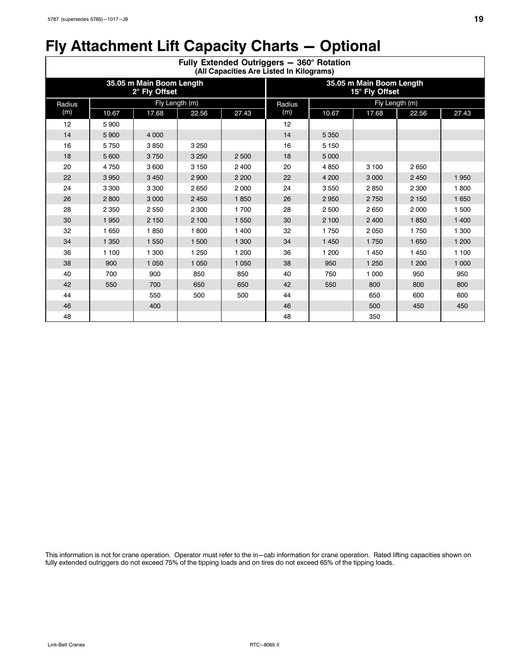# <span id="page-22-0"></span>**Fly Attachment Lift Capacity Charts - Optional**

**Fully Extended Outriggers - 360° Rotation (All Capacities Are Listed In Kilograms) 35.05 m Main Boom Length 2° Fly Offset 35.05 m Main Boom Length 15° Fly Offset** Radius (m) Fly Length (m) Radius (m) Fly Length (m) 10.67 17.68 22.56 27.43 10.67 17.68 22.56 27.43 12 5900 | | | 12 14 | 5 900 | 4 000 | | | | | | | | 14 | 5 350 16 | 5 750 | 3 850 | 3 250 | 16 | 5 150 18 | 5600 | 3750 | 3250 | 2 500 | 18 | 5 000 20 4 750 3 600 3 150 2 400 20 4 850 3 100 2 650 22 3 950 3 450 2 900 2 200 22 4 200 3 000 2 450 1 950 24 3 300 3 300 2 650 2 000 24 3 550 2 850 2 300 1 800 26 | 2 800 | 3 000 | 2 450 | 1 850 | 2 96 | 2 950 | 2 750 | 2 150 | 1 650 28 | 2 350 | 2 550 | 2 300 | 1 700 | 2 28 | 2 500 | 2 650 | 2 000 | 1 500 30 1 950 2 150 2 100 1 550 30 2 100 2 400 1 850 1 400 32 1 650 1 850 1 800 1 400 32 1 750 2 050 1 750 1 300 34 1 350 1 550 1 500 1 300 34 1 450 1 750 1 650 1 200 36 1 100 1 300 1 250 1 200 36 1 200 1 450 1 450 1 100 38 | 900 | 1 050 | 1 050 | 1 050 | 38 | 950 | 1 250 | 1 200 | 1 000 40 | 700 | 900 | 850 | 850 | 40 | 750 | 1 000 | 950 | 950 42 | 550 | 700 | 650 | 650 | 42 | 550 | 800 | 800 | 800 44 | | 550 | 500 | 500 | 44 | 650 | 600 | 600 46 | | 400 | | | 46 | | 500 | 450 | 450 48 | | | | | | | | | | 48 | | 350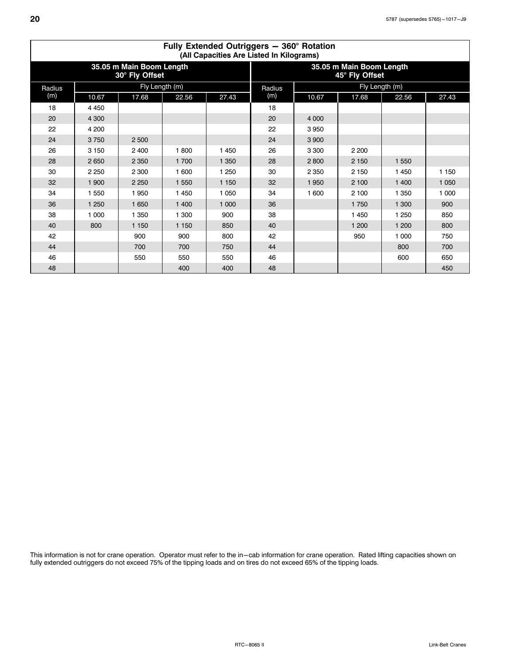<span id="page-23-0"></span>

|        | Fully Extended Outriggers - 360° Rotation<br>(All Capacities Are Listed In Kilograms) |                                            |         |         |                                            |         |                |         |         |  |  |  |  |
|--------|---------------------------------------------------------------------------------------|--------------------------------------------|---------|---------|--------------------------------------------|---------|----------------|---------|---------|--|--|--|--|
|        |                                                                                       | 35.05 m Main Boom Length<br>30° Fly Offset |         |         | 35.05 m Main Boom Length<br>45° Fly Offset |         |                |         |         |  |  |  |  |
| Radius |                                                                                       | Fly Length (m)                             |         |         | Radius                                     |         | Fly Length (m) |         |         |  |  |  |  |
| (m)    | 10.67                                                                                 | 17.68                                      | 22.56   | 27.43   | (m)                                        | 10.67   | 17.68          | 22.56   | 27.43   |  |  |  |  |
| 18     | 4 4 5 0                                                                               |                                            |         |         | 18                                         |         |                |         |         |  |  |  |  |
| 20     | 4 3 0 0                                                                               |                                            |         |         | 20                                         | 4 0 0 0 |                |         |         |  |  |  |  |
| 22     | 4 200                                                                                 |                                            |         |         | 22                                         | 3950    |                |         |         |  |  |  |  |
| 24     | 3750                                                                                  | 2 500                                      |         |         | 24                                         | 3 9 0 0 |                |         |         |  |  |  |  |
| 26     | 3 1 5 0                                                                               | 2 4 0 0                                    | 1800    | 1 450   | 26                                         | 3 3 0 0 | 2 2 0 0        |         |         |  |  |  |  |
| 28     | 2650                                                                                  | 2 3 5 0                                    | 1700    | 1 3 5 0 | 28                                         | 2800    | 2 1 5 0        | 1 550   |         |  |  |  |  |
| 30     | 2 2 5 0                                                                               | 2 3 0 0                                    | 1 600   | 1 250   | 30                                         | 2 3 5 0 | 2 1 5 0        | 1 4 5 0 | 1 1 5 0 |  |  |  |  |
| 32     | 1 900                                                                                 | 2 2 5 0                                    | 1 5 5 0 | 1 1 5 0 | 32                                         | 1950    | 2 100          | 1 400   | 1 0 5 0 |  |  |  |  |
| 34     | 1550                                                                                  | 1950                                       | 1450    | 1 0 5 0 | 34                                         | 1 600   | 2 100          | 1 3 5 0 | 1 000   |  |  |  |  |
| 36     | 1 2 5 0                                                                               | 1 6 5 0                                    | 1 400   | 1 000   | 36                                         |         | 1750           | 1 300   | 900     |  |  |  |  |
| 38     | 1 0 0 0                                                                               | 1 3 5 0                                    | 1 300   | 900     | 38                                         |         | 1 450          | 1 250   | 850     |  |  |  |  |
| 40     | 800                                                                                   | 1 1 5 0                                    | 1 1 5 0 | 850     | 40                                         |         | 1 200          | 1 200   | 800     |  |  |  |  |
| 42     |                                                                                       | 900                                        | 900     | 800     | 42                                         |         | 950            | 1 000   | 750     |  |  |  |  |
| 44     |                                                                                       | 700                                        | 700     | 750     | 44                                         |         |                | 800     | 700     |  |  |  |  |
| 46     |                                                                                       | 550                                        | 550     | 550     | 46                                         |         |                | 600     | 650     |  |  |  |  |
| 48     |                                                                                       |                                            | 400     | 400     | 48                                         |         |                |         | 450     |  |  |  |  |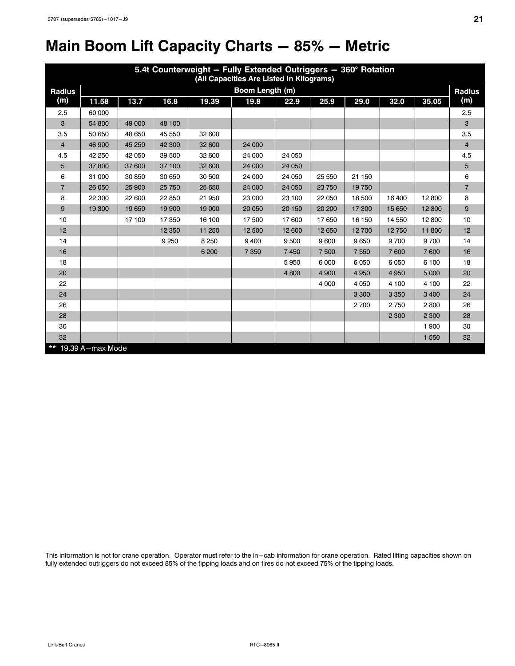# <span id="page-24-0"></span>**Main Boom Lift Capacity Charts - 85% - Metric**

|                | 5.4t Counterweight - Fully Extended Outriggers - 360° Rotation<br>(All Capacities Are Listed In Kilograms) |        |         |         |                 |         |         |         |         |         |                |  |  |
|----------------|------------------------------------------------------------------------------------------------------------|--------|---------|---------|-----------------|---------|---------|---------|---------|---------|----------------|--|--|
| <b>Radius</b>  |                                                                                                            |        |         |         | Boom Length (m) |         |         |         |         |         | <b>Radius</b>  |  |  |
| (m)            | 11.58                                                                                                      | 13.7   | 16.8    | 19.39   | 19.8            | 22.9    | 25.9    | 29.0    | 32.0    | 35.05   | (m)            |  |  |
| 2.5            | 60 000                                                                                                     |        |         |         |                 |         |         |         |         |         | 2.5            |  |  |
| 3              | 54 800                                                                                                     | 49 000 | 48 100  |         |                 |         |         |         |         |         | 3              |  |  |
| 3.5            | 50 650                                                                                                     | 48 650 | 45 550  | 32 600  |                 |         |         |         |         |         | 3.5            |  |  |
| $\overline{4}$ | 46 900                                                                                                     | 45 250 | 42 300  | 32 600  | 24 000          |         |         |         |         |         | 4              |  |  |
| 4.5            | 42 250                                                                                                     | 42 050 | 39 500  | 32 600  | 24 000          | 24 050  |         |         |         |         | 4.5            |  |  |
| 5              | 37 800                                                                                                     | 37 600 | 37 100  | 32 600  | 24 000          | 24 050  |         |         |         |         | 5              |  |  |
| 6              | 31 000                                                                                                     | 30 850 | 30 650  | 30 500  | 24 000          | 24 050  | 25 550  | 21 150  |         |         | 6              |  |  |
| $\overline{7}$ | 26 050                                                                                                     | 25 900 | 25 750  | 25 650  | 24 000          | 24 050  | 23 750  | 19750   |         |         | $\overline{7}$ |  |  |
| 8              | 22 300                                                                                                     | 22 600 | 22 850  | 21 950  | 23 000          | 23 100  | 22 050  | 18 500  | 16 400  | 12 800  | 8              |  |  |
| 9              | 19 300                                                                                                     | 19650  | 19 900  | 19 000  | 20 050          | 20 150  | 20 200  | 17 300  | 15 650  | 12 800  | 9              |  |  |
| 10             |                                                                                                            | 17 100 | 17 350  | 16 100  | 17500           | 17 600  | 17 650  | 16 150  | 14 550  | 12 800  | 10             |  |  |
| 12             |                                                                                                            |        | 12 3 50 | 11 250  | 12 500          | 12 600  | 12 650  | 12700   | 12750   | 11 800  | 12             |  |  |
| 14             |                                                                                                            |        | 9 2 5 0 | 8 2 5 0 | 9 4 0 0         | 9 500   | 9600    | 9650    | 9700    | 9700    | 14             |  |  |
| 16             |                                                                                                            |        |         | 6 200   | 7 3 5 0         | 7 4 5 0 | 7 500   | 7 5 5 0 | 7600    | 7600    | 16             |  |  |
| 18             |                                                                                                            |        |         |         |                 | 5950    | 6 0 0 0 | 6 0 5 0 | 6 0 5 0 | 6 100   | 18             |  |  |
| 20             |                                                                                                            |        |         |         |                 | 4 800   | 4 9 0 0 | 4 9 5 0 | 4 9 5 0 | 5 0 0 0 | 20             |  |  |
| 22             |                                                                                                            |        |         |         |                 |         | 4 0 0 0 | 4 0 5 0 | 4 100   | 4 100   | 22             |  |  |
| 24             |                                                                                                            |        |         |         |                 |         |         | 3 3 0 0 | 3 3 5 0 | 3 4 0 0 | 24             |  |  |
| 26             |                                                                                                            |        |         |         |                 |         |         | 2700    | 2750    | 2800    | 26             |  |  |
| 28             |                                                                                                            |        |         |         |                 |         |         |         | 2 3 0 0 | 2 3 0 0 | 28             |  |  |
| 30             |                                                                                                            |        |         |         |                 |         |         |         |         | 1 900   | 30             |  |  |
| 32             |                                                                                                            |        |         |         |                 |         |         |         |         | 1 550   | 32             |  |  |
| $***$          | 19.39 A-max Mode                                                                                           |        |         |         |                 |         |         |         |         |         |                |  |  |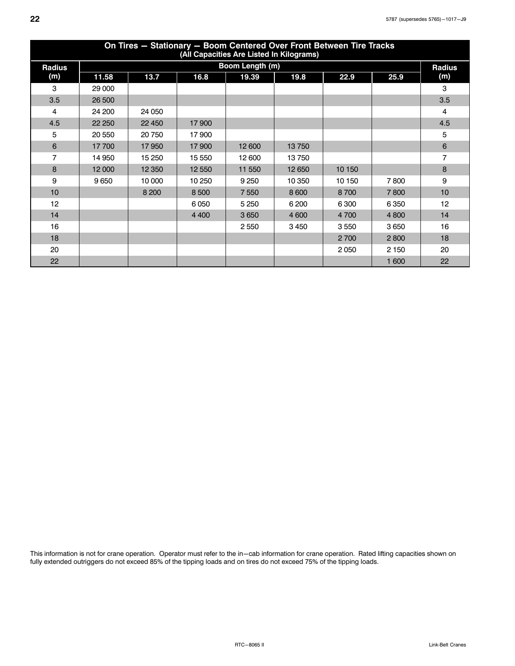<span id="page-25-0"></span>

|                 | On Tires - Stationary - Boom Centered Over Front Between Tire Tracks<br>(All Capacities Are Listed In Kilograms) |         |         |                 |         |         |         |               |  |  |  |  |  |
|-----------------|------------------------------------------------------------------------------------------------------------------|---------|---------|-----------------|---------|---------|---------|---------------|--|--|--|--|--|
| <b>Radius</b>   |                                                                                                                  |         |         | Boom Length (m) |         |         |         | <b>Radius</b> |  |  |  |  |  |
| (m)             | 11.58                                                                                                            | 13.7    | 16.8    | 19.39           | 19.8    | 22.9    | 25.9    | (m)           |  |  |  |  |  |
| 3               | 29 000                                                                                                           |         |         |                 |         |         |         | 3             |  |  |  |  |  |
| 3.5             | 26 500                                                                                                           |         |         |                 |         |         |         | 3.5           |  |  |  |  |  |
| 4               | 24 200                                                                                                           | 24 050  |         |                 |         |         |         | 4             |  |  |  |  |  |
| 4.5             | 22 250                                                                                                           | 22 450  | 17900   |                 |         |         |         | 4.5           |  |  |  |  |  |
| 5               | 20 550                                                                                                           | 20 750  | 17900   |                 |         |         |         | 5             |  |  |  |  |  |
| 6               | 17 700                                                                                                           | 17950   | 17 900  | 12 600          | 13750   |         |         | 6             |  |  |  |  |  |
| 7               | 14 950                                                                                                           | 15 250  | 15 550  | 12 600          | 13750   |         |         | 7             |  |  |  |  |  |
| 8               | 12 000                                                                                                           | 12 3 50 | 12 550  | 11 550          | 12 650  | 10 150  |         | 8             |  |  |  |  |  |
| 9               | 9650                                                                                                             | 10 000  | 10 250  | 9 2 5 0         | 10 350  | 10 150  | 7800    | 9             |  |  |  |  |  |
| 10 <sup>1</sup> |                                                                                                                  | 8 2 0 0 | 8500    | 7550            | 8 6 0 0 | 8700    | 7800    | 10            |  |  |  |  |  |
| 12              |                                                                                                                  |         | 6050    | 5 2 5 0         | 6 200   | 6 3 0 0 | 6 3 5 0 | 12            |  |  |  |  |  |
| 14              |                                                                                                                  |         | 4 4 0 0 | 3650            | 4 600   | 4 700   | 4 8 0 0 | 14            |  |  |  |  |  |
| 16              |                                                                                                                  |         |         | 2 5 5 0         | 3 4 5 0 | 3550    | 3650    | 16            |  |  |  |  |  |
| 18              |                                                                                                                  |         |         |                 |         | 2 700   | 2800    | 18            |  |  |  |  |  |
| 20              |                                                                                                                  |         |         |                 |         | 2050    | 2 1 5 0 | 20            |  |  |  |  |  |
| 22              |                                                                                                                  |         |         |                 |         |         | 1 600   | 22            |  |  |  |  |  |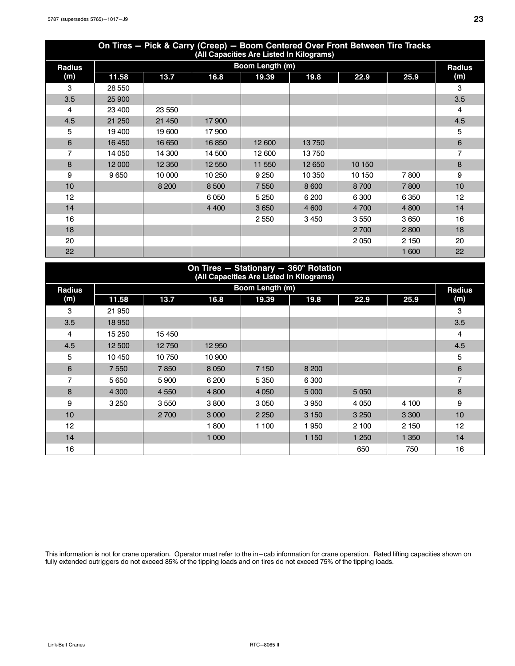<span id="page-26-0"></span>

|                | On Tires - Pick & Carry (Creep) - Boom Centered Over Front Between Tire Tracks<br>(All Capacities Are Listed In Kilograms) |         |         |                        |         |        |         |                |  |  |  |
|----------------|----------------------------------------------------------------------------------------------------------------------------|---------|---------|------------------------|---------|--------|---------|----------------|--|--|--|
| Radius         |                                                                                                                            |         |         | <b>Boom Length (m)</b> |         |        |         | Radius         |  |  |  |
| (m)            | 11.58                                                                                                                      | 13.7    | 16.8    | 19.39                  | 19.8    | 22.9   | 25.9    | (m)            |  |  |  |
| 3              | 28 550                                                                                                                     |         |         |                        |         |        |         | 3              |  |  |  |
| 3.5            | 25 900                                                                                                                     |         |         |                        |         |        |         | 3.5            |  |  |  |
| 4              | 23 400                                                                                                                     | 23 550  |         |                        |         |        |         | 4              |  |  |  |
| 4.5            | 21 250                                                                                                                     | 21 450  | 17900   |                        |         |        |         | 4.5            |  |  |  |
| 5              | 19 400                                                                                                                     | 19600   | 17900   |                        |         |        |         | 5              |  |  |  |
| 6              | 16 450                                                                                                                     | 16 650  | 16850   | 12 600                 | 13750   |        |         | 6              |  |  |  |
| $\overline{7}$ | 14 050                                                                                                                     | 14 300  | 14 500  | 12 600                 | 13750   |        |         | $\overline{7}$ |  |  |  |
| 8              | 12 000                                                                                                                     | 12 3 50 | 12 550  | 11 550                 | 12650   | 10 150 |         | 8              |  |  |  |
| 9              | 9650                                                                                                                       | 10 000  | 10 250  | 9 2 5 0                | 10 350  | 10 150 | 7800    | 9              |  |  |  |
| 10             |                                                                                                                            | 8 2 0 0 | 8 500   | 7550                   | 8 6 0 0 | 8700   | 7800    | 10             |  |  |  |
| 12             |                                                                                                                            |         | 6050    | 5 2 5 0                | 6 200   | 6 300  | 6 3 5 0 | 12             |  |  |  |
| 14             |                                                                                                                            |         | 4 4 0 0 | 3650                   | 4 600   | 4700   | 4 8 0 0 | 14             |  |  |  |
| 16             |                                                                                                                            |         |         | 2 5 5 0                | 3 4 5 0 | 3550   | 3650    | 16             |  |  |  |
| 18             |                                                                                                                            |         |         |                        |         | 2700   | 2800    | 18             |  |  |  |
| 20             |                                                                                                                            |         |         |                        |         | 2050   | 2 1 5 0 | 20             |  |  |  |
| 22             |                                                                                                                            |         |         |                        |         |        | 1 600   | 22             |  |  |  |

| On Tires $-$ Stationary $-$ 360 $^{\circ}$ Rotation<br>(All Capacities Are Listed In Kilograms) |         |         |         |                 |         |         |         |                |  |  |  |
|-------------------------------------------------------------------------------------------------|---------|---------|---------|-----------------|---------|---------|---------|----------------|--|--|--|
| <b>Radius</b>                                                                                   |         |         |         | Boom Length (m) |         |         |         | <b>Radius</b>  |  |  |  |
| (m)                                                                                             | 11.58   | 13.7    | 16.8    | 19.39           | 19.8    | 22.9    | 25.9    | (m)            |  |  |  |
| 3                                                                                               | 21 950  |         |         |                 |         |         |         | 3              |  |  |  |
| 3.5                                                                                             | 18 950  |         |         |                 |         |         |         | 3.5            |  |  |  |
| 4                                                                                               | 15 250  | 15450   |         |                 |         |         |         | 4              |  |  |  |
| 4.5                                                                                             | 12 500  | 12750   | 12 950  |                 |         |         |         | 4.5            |  |  |  |
| 5                                                                                               | 10 450  | 10750   | 10 900  |                 |         |         |         | 5              |  |  |  |
| 6                                                                                               | 7550    | 7850    | 8 0 5 0 | 7 1 5 0         | 8 2 0 0 |         |         | 6              |  |  |  |
| 7                                                                                               | 5 6 5 0 | 5900    | 6 200   | 5 3 5 0         | 6 300   |         |         | $\overline{7}$ |  |  |  |
| 8                                                                                               | 4 3 0 0 | 4 5 5 0 | 4 8 0 0 | 4 0 5 0         | 5 0 0 0 | 5 0 5 0 |         | 8              |  |  |  |
| 9                                                                                               | 3 2 5 0 | 3 5 5 0 | 3800    | 3 0 5 0         | 3950    | 4 0 5 0 | 4 100   | 9              |  |  |  |
| 10                                                                                              |         | 2 700   | 3 0 0 0 | 2 2 5 0         | 3 1 5 0 | 3 2 5 0 | 3 3 0 0 | 10             |  |  |  |
| 12                                                                                              |         |         | 1800    | 1 100           | 1950    | 2 100   | 2 1 5 0 | 12             |  |  |  |
| 14                                                                                              |         |         | 1 0 0 0 |                 | 1 1 5 0 | 1 250   | 1 350   | 14             |  |  |  |
| 16                                                                                              |         |         |         |                 |         | 650     | 750     | 16             |  |  |  |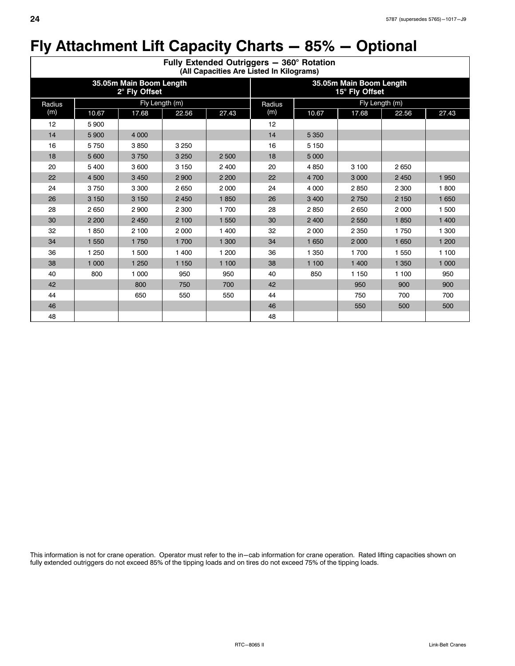# <span id="page-27-0"></span>**Fly Attachment Lift Capacity Charts - 85% - Optional**

|        | Fully Extended Outriggers - 360° Rotation<br>(All Capacities Are Listed In Kilograms) |                                          |         |         |                                           |         |                |         |       |  |  |  |  |
|--------|---------------------------------------------------------------------------------------|------------------------------------------|---------|---------|-------------------------------------------|---------|----------------|---------|-------|--|--|--|--|
|        |                                                                                       | 35.05m Main Boom Length<br>2° Fly Offset |         |         | 35.05m Main Boom Length<br>15° Fly Offset |         |                |         |       |  |  |  |  |
| Radius |                                                                                       | Fly Length (m)                           |         |         | Radius                                    |         | Fly Length (m) |         |       |  |  |  |  |
| (m)    | 10.67                                                                                 | 17.68                                    | 22.56   | 27.43   | (m)                                       | 10.67   | 17.68          | 22.56   | 27.43 |  |  |  |  |
| 12     | 5900                                                                                  |                                          |         |         | 12                                        |         |                |         |       |  |  |  |  |
| 14     | 5900                                                                                  | 4 0 0 0                                  |         |         | 14                                        | 5 3 5 0 |                |         |       |  |  |  |  |
| 16     | 5750                                                                                  | 3850                                     | 3 2 5 0 |         | 16                                        | 5 1 5 0 |                |         |       |  |  |  |  |
| 18     | 5 600                                                                                 | 3750                                     | 3 2 5 0 | 2500    | 18                                        | 5 0 0 0 |                |         |       |  |  |  |  |
| 20     | 5400                                                                                  | 3600                                     | 3 1 5 0 | 2400    | 20                                        | 4850    | 3 100          | 2650    |       |  |  |  |  |
| 22     | 4 500                                                                                 | 3 4 5 0                                  | 2 9 0 0 | 2 2 0 0 | 22                                        | 4 700   | 3 0 0 0        | 2 4 5 0 | 1 950 |  |  |  |  |
| 24     | 3750                                                                                  | 3 3 0 0                                  | 2650    | 2000    | 24                                        | 4 0 0 0 | 2850           | 2 3 0 0 | 1800  |  |  |  |  |
| 26     | 3 1 5 0                                                                               | 3 1 5 0                                  | 2 4 5 0 | 1850    | 26                                        | 3 4 0 0 | 2750           | 2 1 5 0 | 1 650 |  |  |  |  |
| 28     | 2650                                                                                  | 2 9 0 0                                  | 2 3 0 0 | 1700    | 28                                        | 2850    | 2650           | 2 0 0 0 | 1 500 |  |  |  |  |
| 30     | 2 2 0 0                                                                               | 2 4 5 0                                  | 2 100   | 1 550   | 30                                        | 2 4 0 0 | 2 5 5 0        | 1850    | 1 400 |  |  |  |  |
| 32     | 1850                                                                                  | 2 100                                    | 2 0 0 0 | 1 400   | 32                                        | 2000    | 2 3 5 0        | 1750    | 1 300 |  |  |  |  |
| 34     | 1 5 5 0                                                                               | 1 750                                    | 1 700   | 1 300   | 34                                        | 1 6 5 0 | 2 0 0 0        | 1 650   | 1 200 |  |  |  |  |
| 36     | 1 2 5 0                                                                               | 1 500                                    | 1 400   | 1 200   | 36                                        | 1 3 5 0 | 1700           | 1 550   | 1 100 |  |  |  |  |
| 38     | 1 0 0 0                                                                               | 1 2 5 0                                  | 1 1 5 0 | 1 100   | 38                                        | 1 100   | 1 400          | 1 3 5 0 | 1 000 |  |  |  |  |
| 40     | 800                                                                                   | 1 0 0 0                                  | 950     | 950     | 40                                        | 850     | 1 1 5 0        | 1 100   | 950   |  |  |  |  |
| 42     |                                                                                       | 800                                      | 750     | 700     | 42                                        |         | 950            | 900     | 900   |  |  |  |  |
| 44     |                                                                                       | 650                                      | 550     | 550     | 44                                        |         | 750            | 700     | 700   |  |  |  |  |
| 46     |                                                                                       |                                          |         |         | 46                                        |         | 550            | 500     | 500   |  |  |  |  |
| 48     |                                                                                       |                                          |         |         | 48                                        |         |                |         |       |  |  |  |  |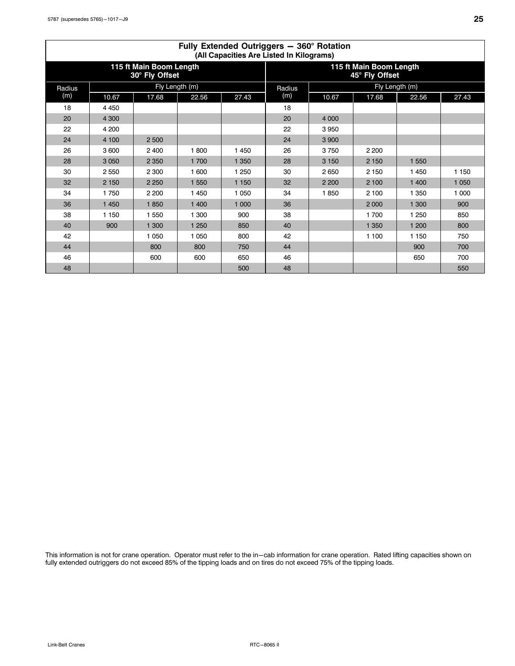<span id="page-28-0"></span>

| Fully Extended Outriggers - 360° Rotation<br>(All Capacities Are Listed In Kilograms) |                |         |         |         |                                           |                |         |         |         |
|---------------------------------------------------------------------------------------|----------------|---------|---------|---------|-------------------------------------------|----------------|---------|---------|---------|
| 115 ft Main Boom Length<br>30° Fly Offset                                             |                |         |         |         | 115 ft Main Boom Length<br>45° Fly Offset |                |         |         |         |
| Radius                                                                                | Fly Length (m) |         |         |         | Radius                                    | Fly Length (m) |         |         |         |
| (m)                                                                                   | 10.67          | 17.68   | 22.56   | 27.43   | (m)                                       | 10.67          | 17.68   | 22.56   | 27.43   |
| 18                                                                                    | 4 4 5 0        |         |         |         | 18                                        |                |         |         |         |
| 20                                                                                    | 4 3 0 0        |         |         |         | 20                                        | 4 0 0 0        |         |         |         |
| 22                                                                                    | 4 200          |         |         |         | 22                                        | 3950           |         |         |         |
| 24                                                                                    | 4 100          | 2 500   |         |         | 24                                        | 3 9 0 0        |         |         |         |
| 26                                                                                    | 3600           | 2 4 0 0 | 1800    | 1450    | 26                                        | 3750           | 2 2 0 0 |         |         |
| 28                                                                                    | 3 0 5 0        | 2 3 5 0 | 1700    | 1 3 5 0 | 28                                        | 3 1 5 0        | 2 1 5 0 | 1 550   |         |
| 30                                                                                    | 2550           | 2 3 0 0 | 1 600   | 1 2 5 0 | 30                                        | 2650           | 2 1 5 0 | 1 450   | 1 1 5 0 |
| 32                                                                                    | 2 1 5 0        | 2 2 5 0 | 1 550   | 1 1 5 0 | 32                                        | 2 2 0 0        | 2 100   | 1 400   | 1 0 5 0 |
| 34                                                                                    | 1750           | 2 2 0 0 | 1 450   | 1 0 5 0 | 34                                        | 1850           | 2 100   | 1 3 5 0 | 1 000   |
| 36                                                                                    | 1 4 5 0        | 1850    | 1 400   | 1 0 0 0 | 36                                        |                | 2 0 0 0 | 1 300   | 900     |
| 38                                                                                    | 1 1 5 0        | 1 550   | 1 300   | 900     | 38                                        |                | 1700    | 1 250   | 850     |
| 40                                                                                    | 900            | 1 300   | 1 250   | 850     | 40                                        |                | 1 3 5 0 | 1 200   | 800     |
| 42                                                                                    |                | 1 0 5 0 | 1 0 5 0 | 800     | 42                                        |                | 1 100   | 1 1 5 0 | 750     |
| 44                                                                                    |                | 800     | 800     | 750     | 44                                        |                |         | 900     | 700     |
| 46                                                                                    |                | 600     | 600     | 650     | 46                                        |                |         | 650     | 700     |
| 48                                                                                    |                |         |         | 500     | 48                                        |                |         |         | 550     |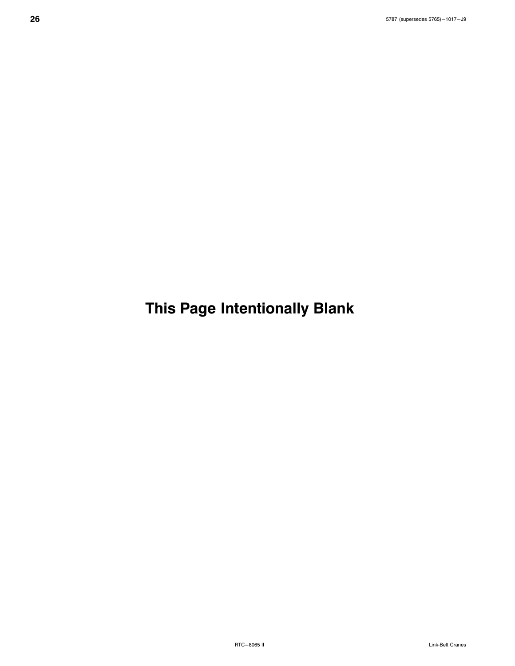**This Page Intentionally Blank**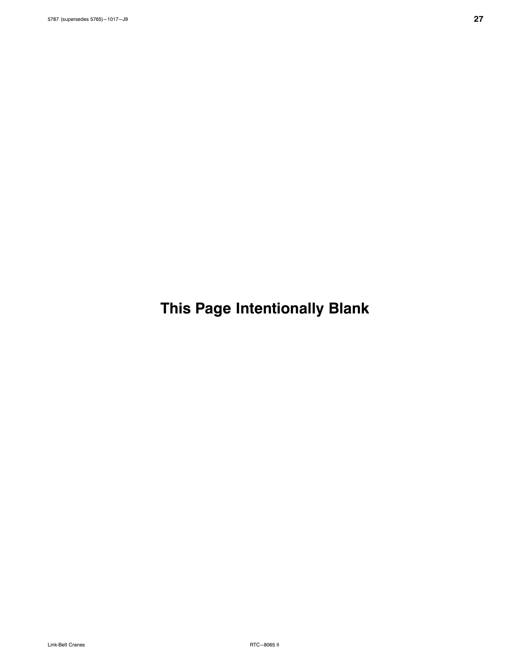**This Page Intentionally Blank**